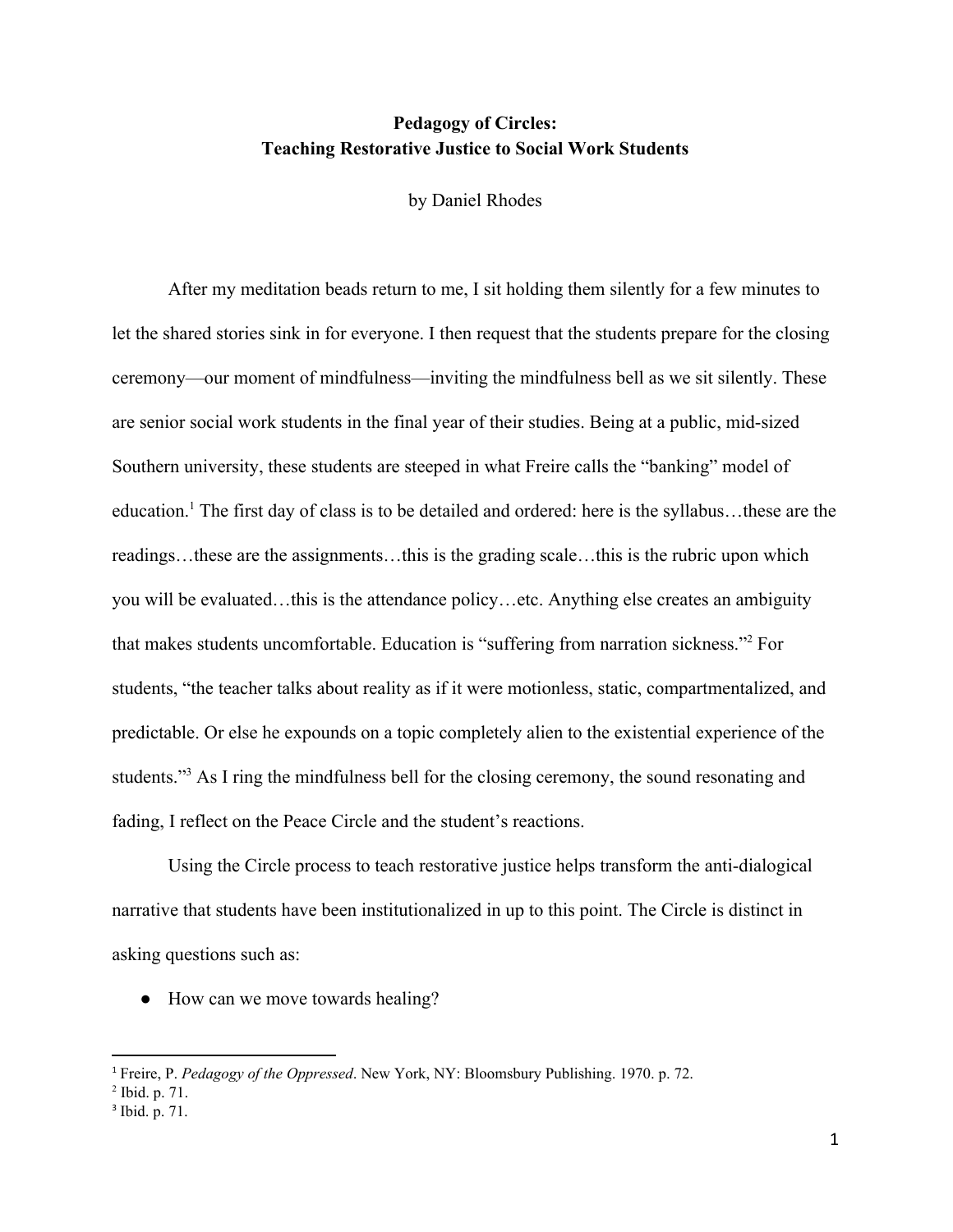# **Pedagogy of Circles: Teaching Restorative Justice to Social Work Students**

by Daniel Rhodes

After my meditation beads return to me, I sit holding them silently for a few minutes to let the shared stories sink in for everyone. I then request that the students prepare for the closing ceremony—our moment of mindfulness—inviting the mindfulness bell as we sit silently. These are senior social work students in the final year of their studies. Being at a public, mid-sized Southern university, these students are steeped in what Freire calls the "banking" model of education.<sup>1</sup> The first day of class is to be detailed and ordered: here is the syllabus...these are the readings…these are the assignments…this is the grading scale…this is the rubric upon which you will be evaluated…this is the attendance policy…etc. Anything else creates an ambiguity that makes students uncomfortable. Education is "suffering from narration sickness."<sup>2</sup> For students, "the teacher talks about reality as if it were motionless, static, compartmentalized, and predictable. Or else he expounds on a topic completely alien to the existential experience of the students."<sup>3</sup> As I ring the mindfulness bell for the closing ceremony, the sound resonating and fading, I reflect on the Peace Circle and the student's reactions.

Using the Circle process to teach restorative justice helps transform the anti-dialogical narrative that students have been institutionalized in up to this point. The Circle is distinct in asking questions such as:

• How can we move towards healing?

<sup>1</sup> Freire, P. *Pedagogy of the Oppressed*. New York, NY: Bloomsbury Publishing. 1970. p. 72.

<sup>2</sup> Ibid. p. 71.

<sup>&</sup>lt;sup>3</sup> Ibid. p. 71.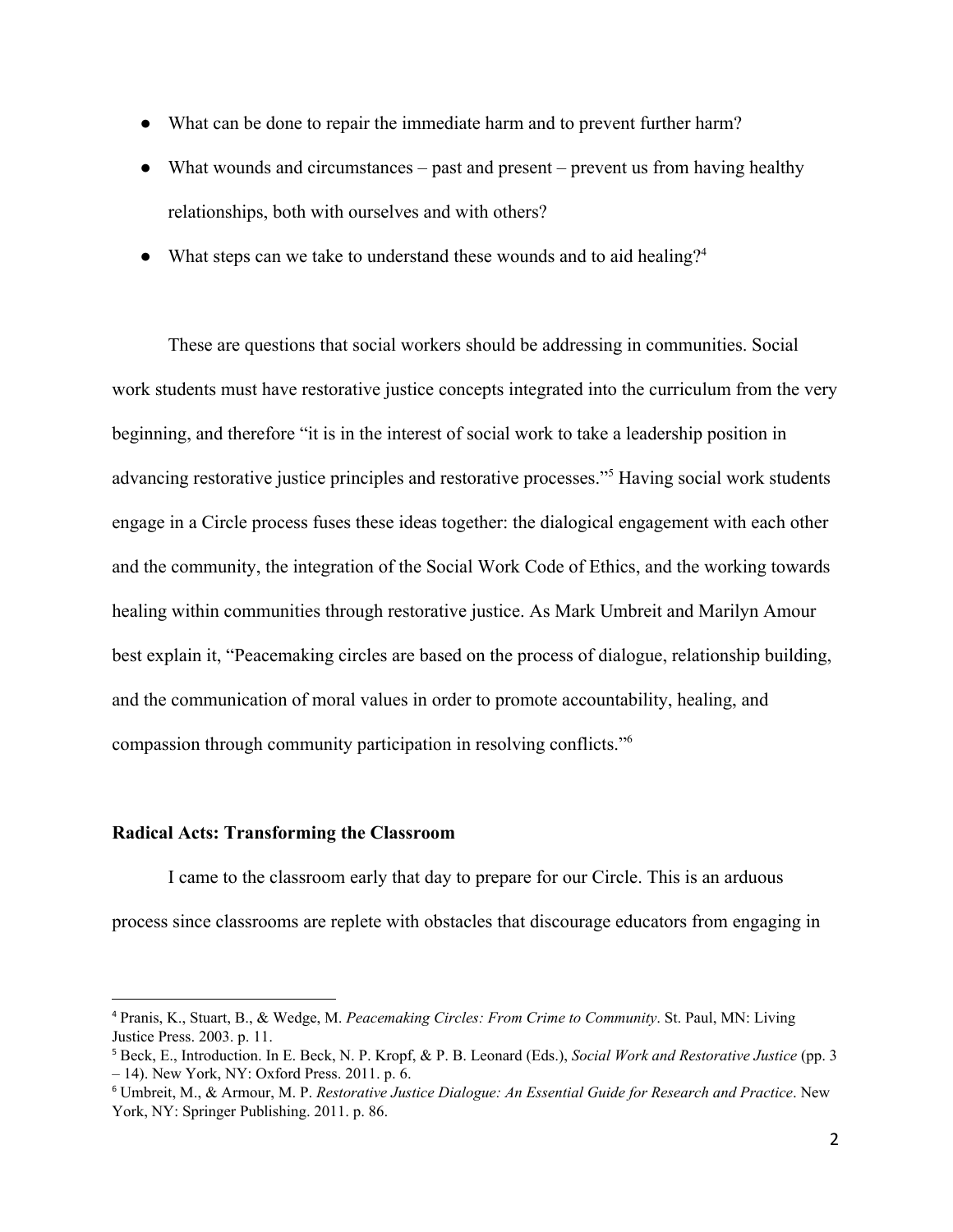- What can be done to repair the immediate harm and to prevent further harm?
- What wounds and circumstances past and present prevent us from having healthy relationships, both with ourselves and with others?
- What steps can we take to understand these wounds and to aid healing?<sup>4</sup>

These are questions that social workers should be addressing in communities. Social work students must have restorative justice concepts integrated into the curriculum from the very beginning, and therefore "it is in the interest of social work to take a leadership position in advancing restorative justice principles and restorative processes."<sup>5</sup> Having social work students engage in a Circle process fuses these ideas together: the dialogical engagement with each other and the community, the integration of the Social Work Code of Ethics, and the working towards healing within communities through restorative justice. As Mark Umbreit and Marilyn Amour best explain it, "Peacemaking circles are based on the process of dialogue, relationship building, and the communication of moral values in order to promote accountability, healing, and compassion through community participation in resolving conflicts."<sup>6</sup>

## **Radical Acts: Transforming the Classroom**

I came to the classroom early that day to prepare for our Circle. This is an arduous process since classrooms are replete with obstacles that discourage educators from engaging in

<sup>4</sup> Pranis, K., Stuart, B., & Wedge, M. *Peacemaking Circles: From Crime to Community*. St. Paul, MN: Living Justice Press. 2003. p. 11.

<sup>5</sup> Beck, E., Introduction. In E. Beck, N. P. Kropf, & P. B. Leonard (Eds.), *Social Work and Restorative Justice* (pp. 3 – 14). New York, NY: Oxford Press. 2011. p. 6.

<sup>6</sup> Umbreit, M., & Armour, M. P. *Restorative Justice Dialogue: An Essential Guide for Research and Practice*. New York, NY: Springer Publishing. 2011. p. 86.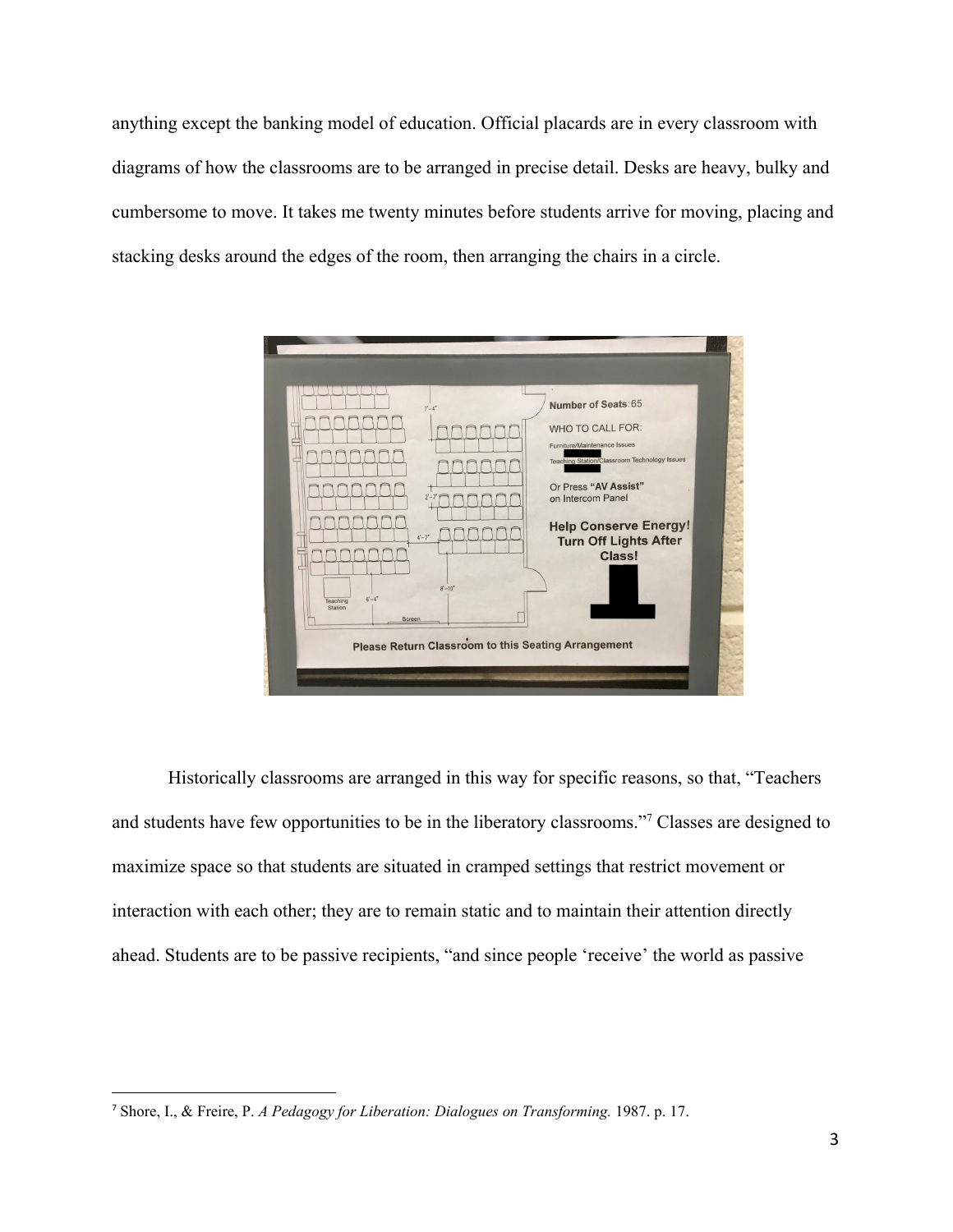anything except the banking model of education. Official placards are in every classroom with diagrams of how the classrooms are to be arranged in precise detail. Desks are heavy, bulky and cumbersome to move. It takes me twenty minutes before students arrive for moving, placing and stacking desks around the edges of the room, then arranging the chairs in a circle.



Historically classrooms are arranged in this way for specific reasons, so that, "Teachers and students have few opportunities to be in the liberatory classrooms."<sup>7</sup> Classes are designed to maximize space so that students are situated in cramped settings that restrict movement or interaction with each other; they are to remain static and to maintain their attention directly ahead. Students are to be passive recipients, "and since people 'receive' the world as passive

<sup>7</sup> Shore, I., & Freire, P. *A Pedagogy for Liberation: Dialogues on Transforming.* 1987. p. 17.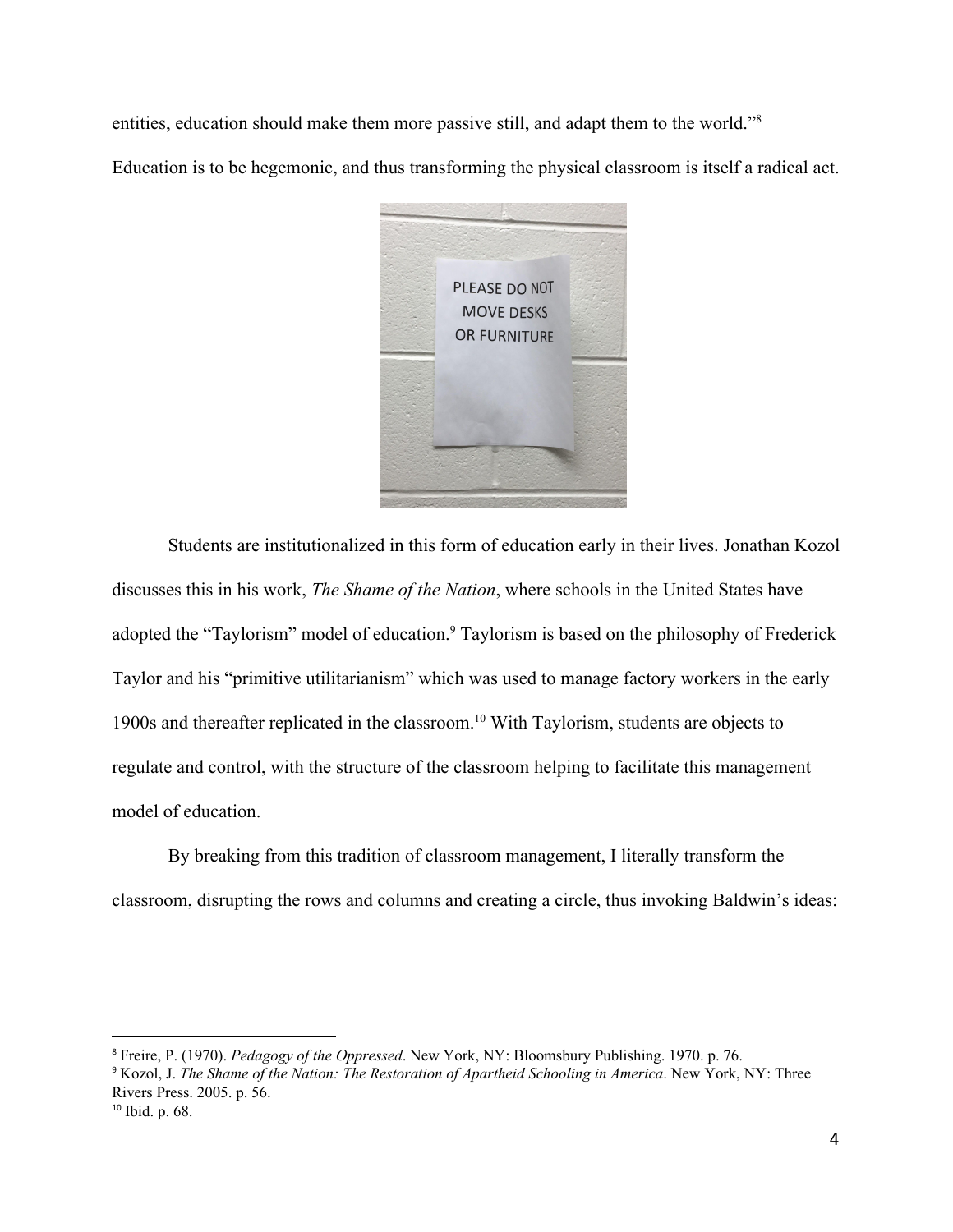entities, education should make them more passive still, and adapt them to the world."<sup>8</sup>

Education is to be hegemonic, and thus transforming the physical classroom is itself a radical act.



Students are institutionalized in this form of education early in their lives. Jonathan Kozol discusses this in his work, *The Shame of the Nation*, where schools in the United States have adopted the "Taylorism" model of education.<sup>9</sup> Taylorism is based on the philosophy of Frederick Taylor and his "primitive utilitarianism" which was used to manage factory workers in the early 1900s and thereafter replicated in the classroom.<sup>10</sup> With Taylorism, students are objects to regulate and control, with the structure of the classroom helping to facilitate this management model of education.

By breaking from this tradition of classroom management, I literally transform the classroom, disrupting the rows and columns and creating a circle, thus invoking Baldwin's ideas:

<sup>8</sup> Freire, P. (1970). *Pedagogy of the Oppressed*. New York, NY: Bloomsbury Publishing. 1970. p. 76.

<sup>9</sup> Kozol, J. *The Shame of the Nation: The Restoration of Apartheid Schooling in America*. New York, NY: Three Rivers Press. 2005. p. 56.

<sup>10</sup> Ibid. p. 68.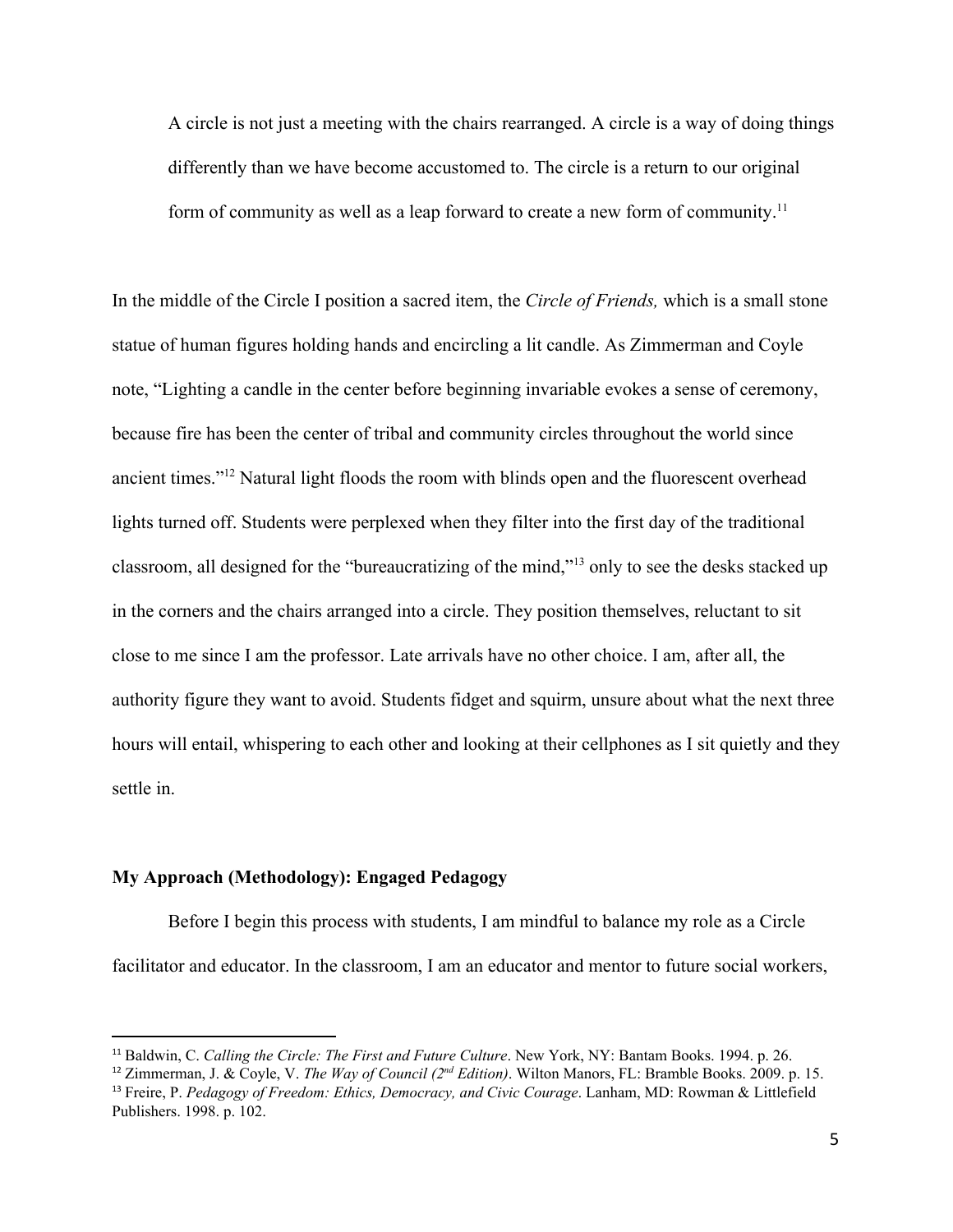A circle is not just a meeting with the chairs rearranged. A circle is a way of doing things differently than we have become accustomed to. The circle is a return to our original form of community as well as a leap forward to create a new form of community.<sup>11</sup>

In the middle of the Circle I position a sacred item, the *Circle of Friends,* which is a small stone statue of human figures holding hands and encircling a lit candle. As Zimmerman and Coyle note, "Lighting a candle in the center before beginning invariable evokes a sense of ceremony, because fire has been the center of tribal and community circles throughout the world since ancient times."<sup>12</sup> Natural light floods the room with blinds open and the fluorescent overhead lights turned off. Students were perplexed when they filter into the first day of the traditional classroom, all designed for the "bureaucratizing of the mind,"<sup>13</sup> only to see the desks stacked up in the corners and the chairs arranged into a circle. They position themselves, reluctant to sit close to me since I am the professor. Late arrivals have no other choice. I am, after all, the authority figure they want to avoid. Students fidget and squirm, unsure about what the next three hours will entail, whispering to each other and looking at their cellphones as I sit quietly and they settle in.

# **My Approach (Methodology): Engaged Pedagogy**

Before I begin this process with students, I am mindful to balance my role as a Circle facilitator and educator. In the classroom, I am an educator and mentor to future social workers,

<sup>11</sup> Baldwin, C. *Calling the Circle: The First and Future Culture*. New York, NY: Bantam Books. 1994. p. 26.

<sup>&</sup>lt;sup>12</sup> Zimmerman, J. & Coyle, V. *The Way of Council* ( $2^{nd}$  *Edition*). Wilton Manors, FL: Bramble Books. 2009. p. 15. <sup>13</sup> Freire, P. *Pedagogy of Freedom: Ethics, Democracy, and Civic Courage*. Lanham, MD: Rowman & Littlefield

Publishers. 1998. p. 102.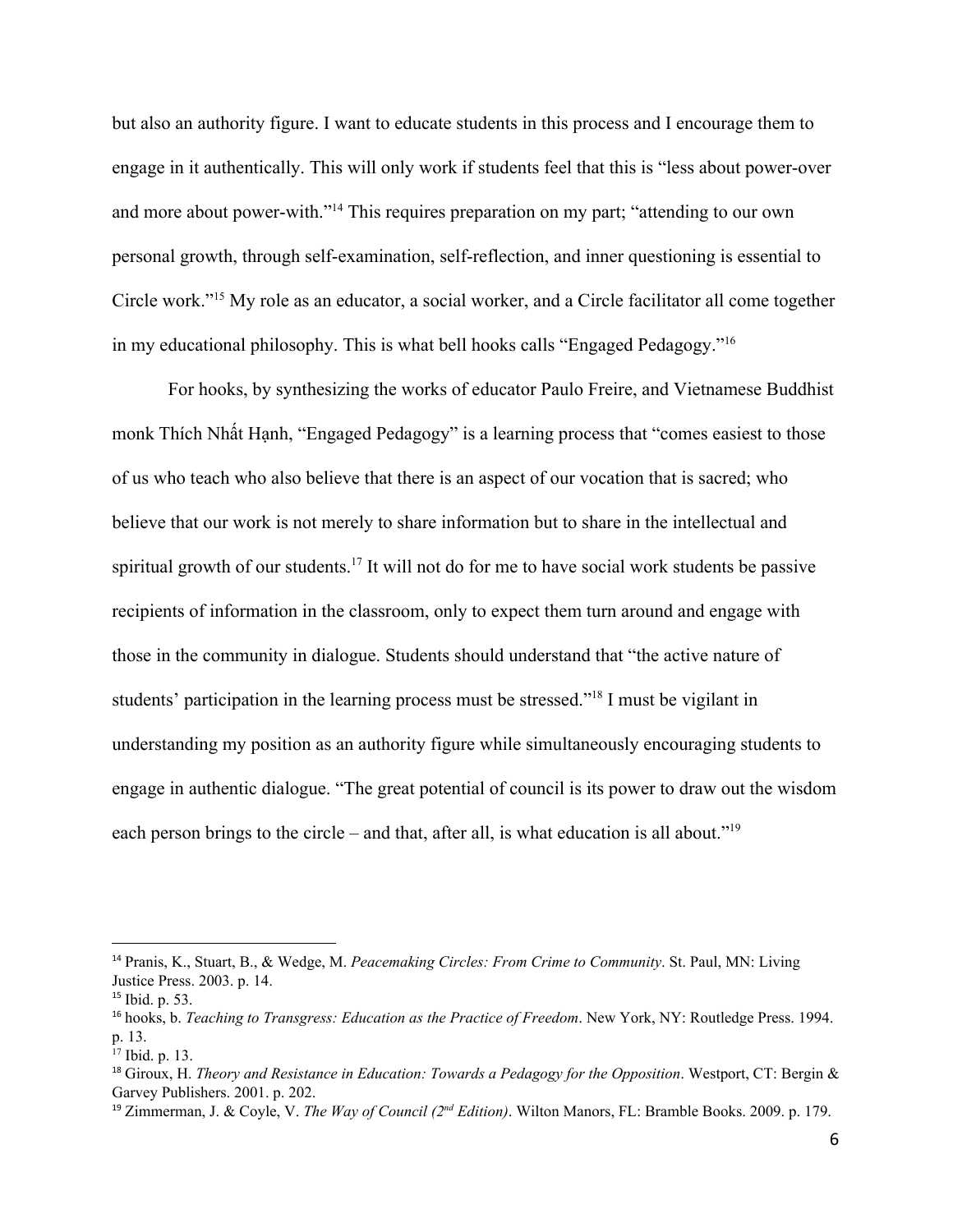but also an authority figure. I want to educate students in this process and I encourage them to engage in it authentically. This will only work if students feel that this is "less about power-over and more about power-with."<sup>14</sup> This requires preparation on my part; "attending to our own personal growth, through self-examination, self-reflection, and inner questioning is essential to Circle work."<sup>15</sup> My role as an educator, a social worker, and a Circle facilitator all come together in my educational philosophy. This is what bell hooks calls "Engaged Pedagogy."<sup>16</sup>

For hooks, by synthesizing the works of educator Paulo Freire, and Vietnamese Buddhist monk Thích Nhất Hạnh, "Engaged Pedagogy" is a learning process that "comes easiest to those of us who teach who also believe that there is an aspect of our vocation that is sacred; who believe that our work is not merely to share information but to share in the intellectual and spiritual growth of our students.<sup>17</sup> It will not do for me to have social work students be passive recipients of information in the classroom, only to expect them turn around and engage with those in the community in dialogue. Students should understand that "the active nature of students' participation in the learning process must be stressed."<sup>18</sup> I must be vigilant in understanding my position as an authority figure while simultaneously encouraging students to engage in authentic dialogue. "The great potential of council is its power to draw out the wisdom each person brings to the circle – and that, after all, is what education is all about."<sup>19</sup>

<sup>14</sup> Pranis, K., Stuart, B., & Wedge, M. *Peacemaking Circles: From Crime to Community*. St. Paul, MN: Living Justice Press. 2003. p. 14.

<sup>15</sup> Ibid. p. 53.

<sup>16</sup> hooks, b. *Teaching to Transgress: Education as the Practice of Freedom*. New York, NY: Routledge Press. 1994. p. 13.

<sup>17</sup> Ibid. p. 13.

<sup>18</sup> Giroux, H. *Theory and Resistance in Education: Towards a Pedagogy for the Opposition*. Westport, CT: Bergin & Garvey Publishers. 2001. p. 202.

<sup>19</sup> Zimmerman, J. & Coyle, V. *The Way of Council (2 nd Edition)*. Wilton Manors, FL: Bramble Books. 2009. p. 179.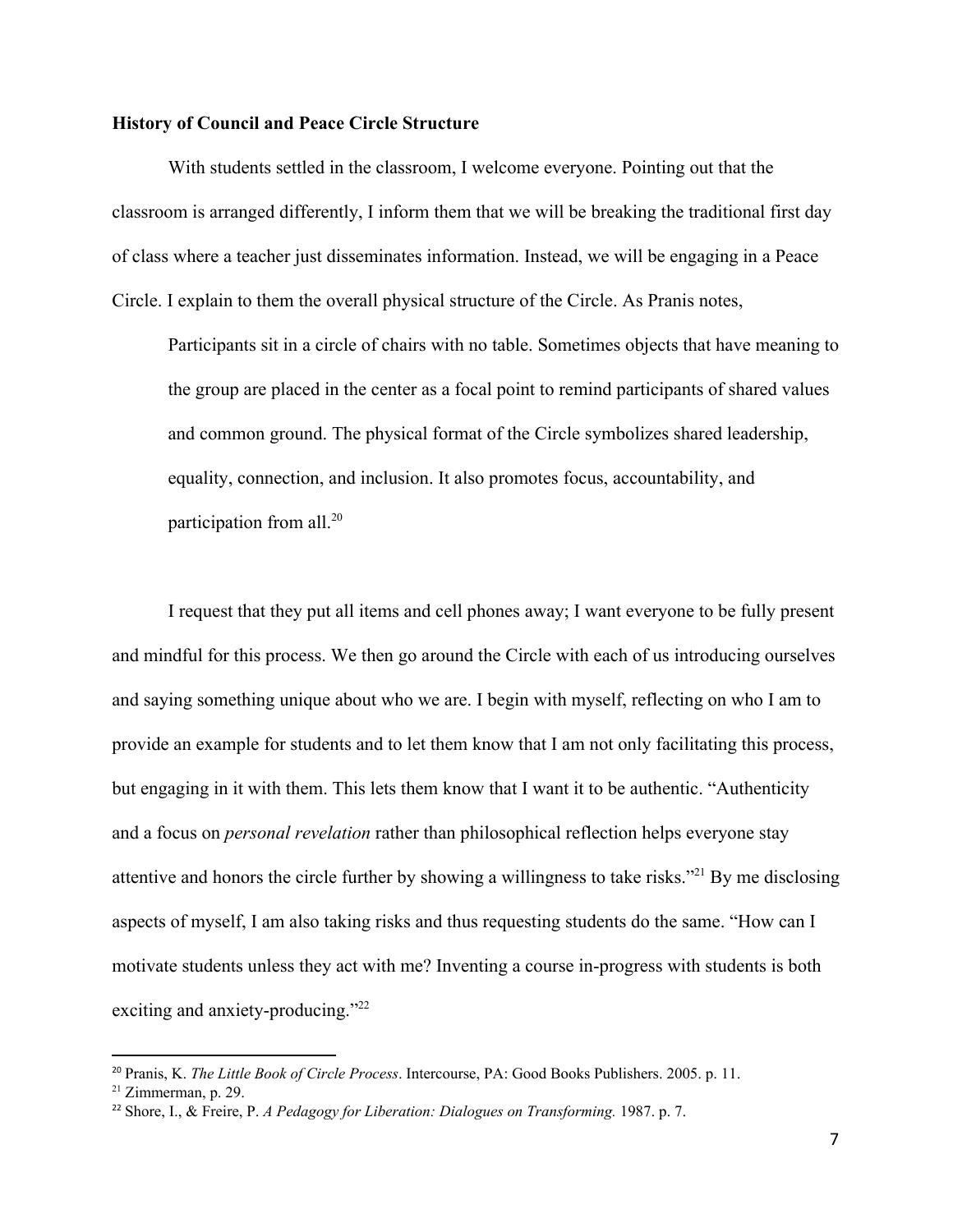## **History of Council and Peace Circle Structure**

With students settled in the classroom, I welcome everyone. Pointing out that the classroom is arranged differently, I inform them that we will be breaking the traditional first day of class where a teacher just disseminates information. Instead, we will be engaging in a Peace Circle. I explain to them the overall physical structure of the Circle. As Pranis notes,

Participants sit in a circle of chairs with no table. Sometimes objects that have meaning to the group are placed in the center as a focal point to remind participants of shared values and common ground. The physical format of the Circle symbolizes shared leadership, equality, connection, and inclusion. It also promotes focus, accountability, and participation from all.<sup>20</sup>

I request that they put all items and cell phones away; I want everyone to be fully present and mindful for this process. We then go around the Circle with each of us introducing ourselves and saying something unique about who we are. I begin with myself, reflecting on who I am to provide an example for students and to let them know that I am not only facilitating this process, but engaging in it with them. This lets them know that I want it to be authentic. "Authenticity and a focus on *personal revelation* rather than philosophical reflection helps everyone stay attentive and honors the circle further by showing a willingness to take risks."<sup>21</sup> By me disclosing aspects of myself, I am also taking risks and thus requesting students do the same. "How can I motivate students unless they act with me? Inventing a course in-progress with students is both exciting and anxiety-producing."<sup>22</sup>

<sup>20</sup> Pranis, K. *The Little Book of Circle Process*. Intercourse, PA: Good Books Publishers. 2005. p. 11.

 $21$  Zimmerman, p. 29.

<sup>22</sup> Shore, I., & Freire, P. *A Pedagogy for Liberation: Dialogues on Transforming.* 1987. p. 7.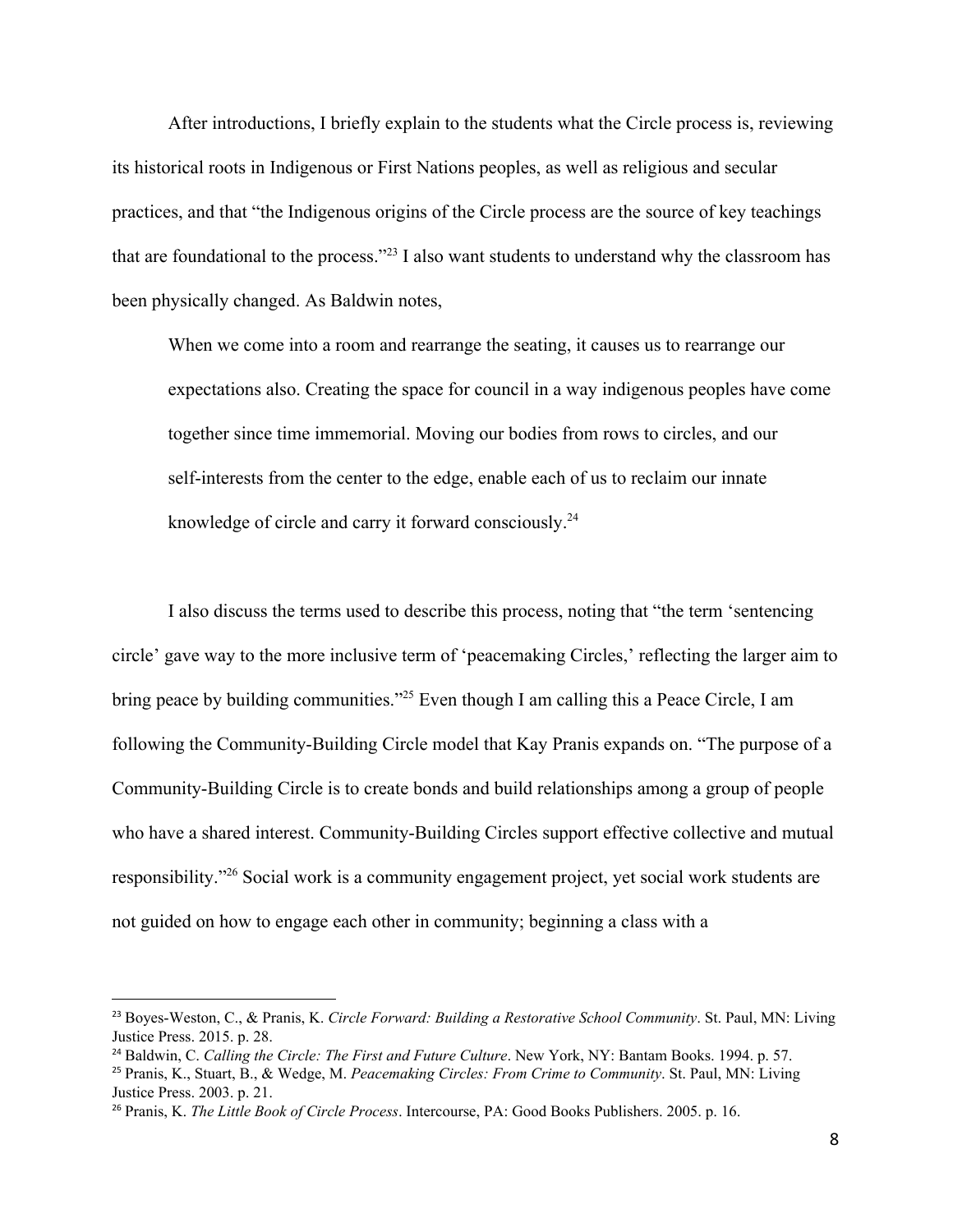After introductions, I briefly explain to the students what the Circle process is, reviewing its historical roots in Indigenous or First Nations peoples, as well as religious and secular practices, and that "the Indigenous origins of the Circle process are the source of key teachings that are foundational to the process."<sup>23</sup> I also want students to understand why the classroom has been physically changed. As Baldwin notes,

When we come into a room and rearrange the seating, it causes us to rearrange our expectations also. Creating the space for council in a way indigenous peoples have come together since time immemorial. Moving our bodies from rows to circles, and our self-interests from the center to the edge, enable each of us to reclaim our innate knowledge of circle and carry it forward consciously.<sup>24</sup>

I also discuss the terms used to describe this process, noting that "the term 'sentencing circle' gave way to the more inclusive term of 'peacemaking Circles,' reflecting the larger aim to bring peace by building communities."<sup>25</sup> Even though I am calling this a Peace Circle, I am following the Community-Building Circle model that Kay Pranis expands on. "The purpose of a Community-Building Circle is to create bonds and build relationships among a group of people who have a shared interest. Community-Building Circles support effective collective and mutual responsibility."<sup>26</sup> Social work is a community engagement project, yet social work students are not guided on how to engage each other in community; beginning a class with a

<sup>23</sup> Boyes-Weston, C., & Pranis, K. *Circle Forward: Building a Restorative School Community*. St. Paul, MN: Living Justice Press. 2015. p. 28.

<sup>24</sup> Baldwin, C. *Calling the Circle: The First and Future Culture*. New York, NY: Bantam Books. 1994. p. 57.

<sup>25</sup> Pranis, K., Stuart, B., & Wedge, M. *Peacemaking Circles: From Crime to Community*. St. Paul, MN: Living Justice Press. 2003. p. 21.

<sup>26</sup> Pranis, K. *The Little Book of Circle Process*. Intercourse, PA: Good Books Publishers. 2005. p. 16.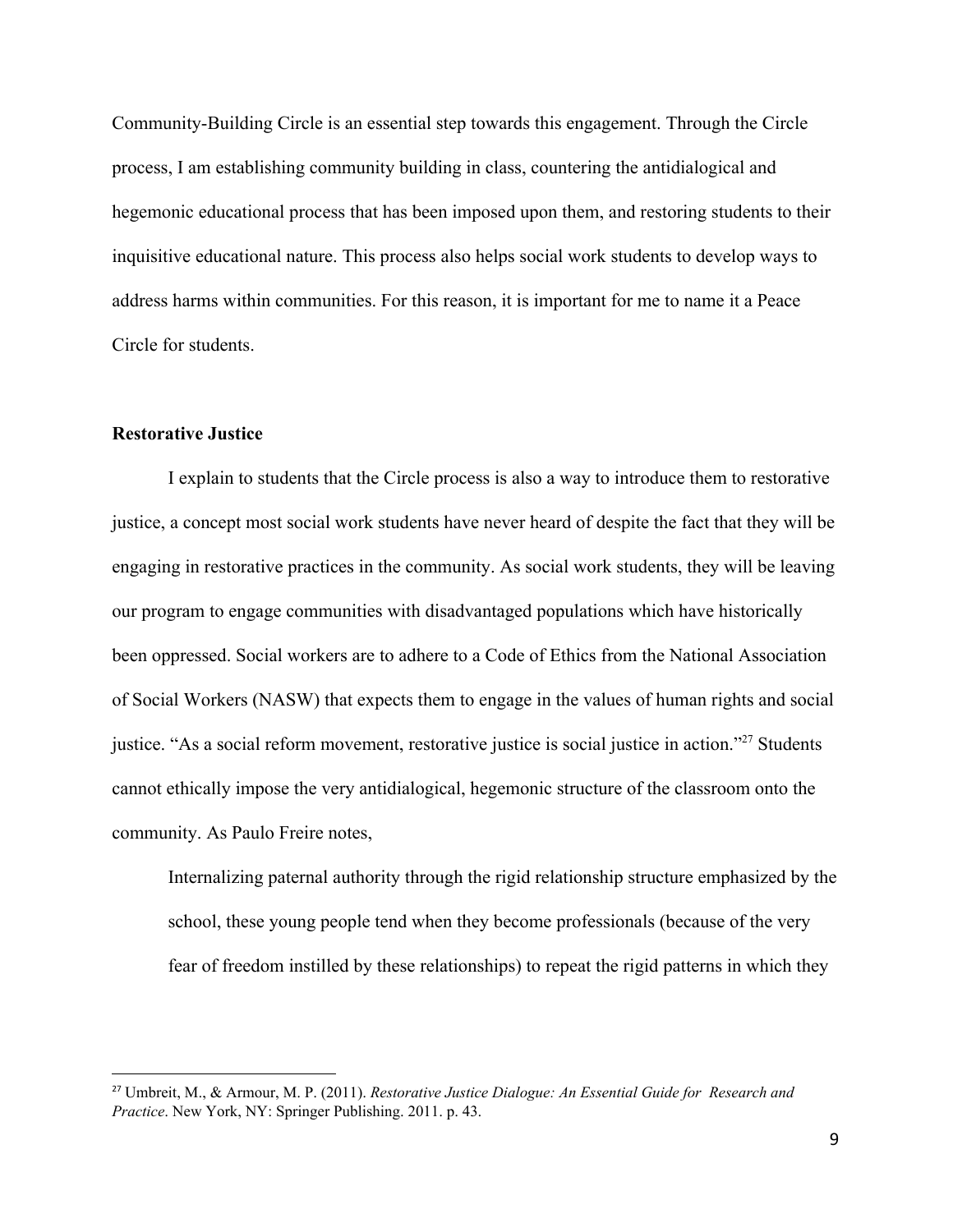Community-Building Circle is an essential step towards this engagement. Through the Circle process, I am establishing community building in class, countering the antidialogical and hegemonic educational process that has been imposed upon them, and restoring students to their inquisitive educational nature. This process also helps social work students to develop ways to address harms within communities. For this reason, it is important for me to name it a Peace Circle for students.

## **Restorative Justice**

I explain to students that the Circle process is also a way to introduce them to restorative justice, a concept most social work students have never heard of despite the fact that they will be engaging in restorative practices in the community. As social work students, they will be leaving our program to engage communities with disadvantaged populations which have historically been oppressed. Social workers are to adhere to a Code of Ethics from the National Association of Social Workers (NASW) that expects them to engage in the values of human rights and social justice. "As a social reform movement, restorative justice is social justice in action."<sup>27</sup> Students cannot ethically impose the very antidialogical, hegemonic structure of the classroom onto the community. As Paulo Freire notes,

Internalizing paternal authority through the rigid relationship structure emphasized by the school, these young people tend when they become professionals (because of the very fear of freedom instilled by these relationships) to repeat the rigid patterns in which they

<sup>27</sup> Umbreit, M., & Armour, M. P. (2011). *Restorative Justice Dialogue: An Essential Guide for Research and Practice*. New York, NY: Springer Publishing. 2011. p. 43.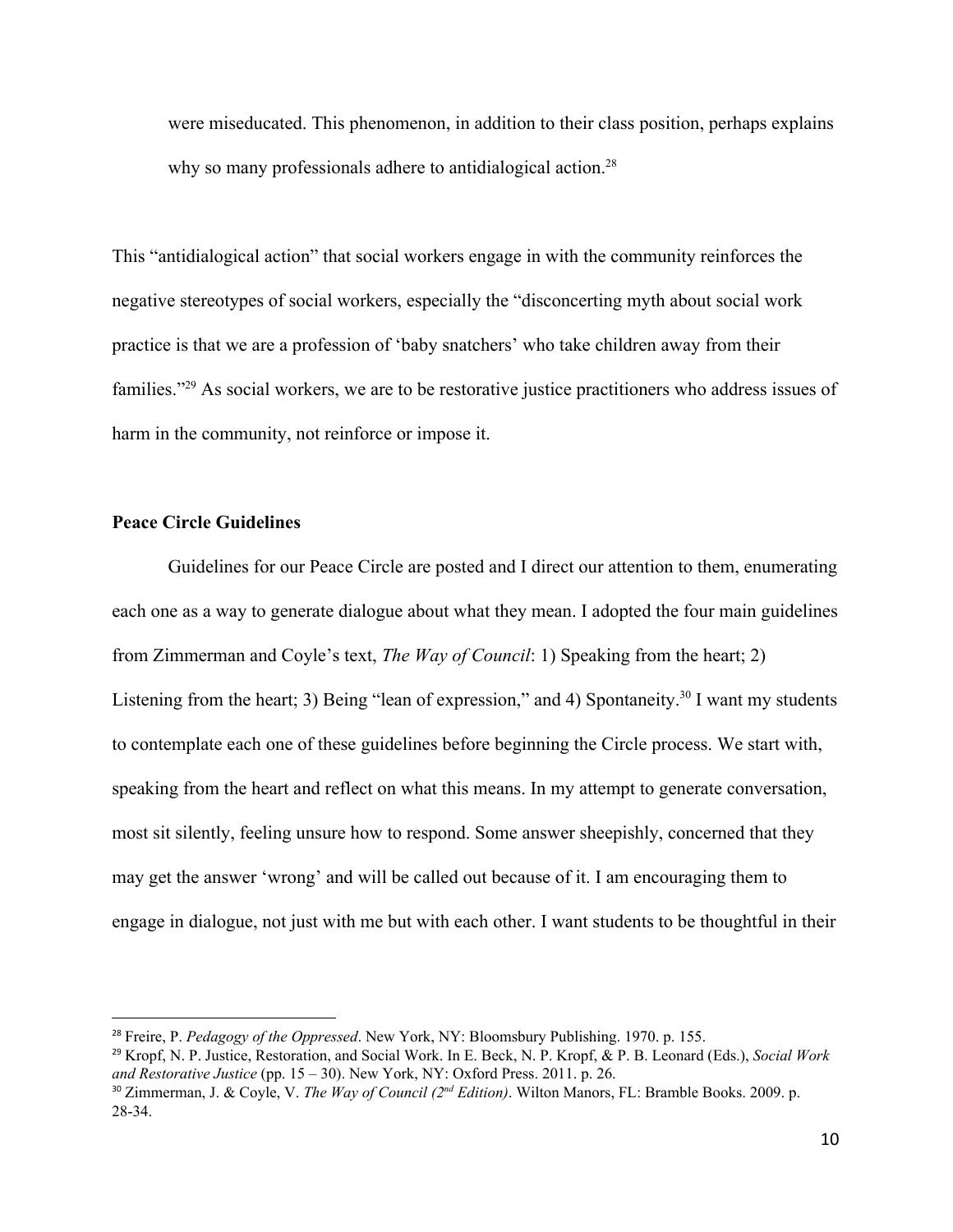were miseducated. This phenomenon, in addition to their class position, perhaps explains why so many professionals adhere to antidialogical action.<sup>28</sup>

This "antidialogical action" that social workers engage in with the community reinforces the negative stereotypes of social workers, especially the "disconcerting myth about social work practice is that we are a profession of 'baby snatchers' who take children away from their families."<sup>29</sup> As social workers, we are to be restorative justice practitioners who address issues of harm in the community, not reinforce or impose it.

# **Peace Circle Guidelines**

Guidelines for our Peace Circle are posted and I direct our attention to them, enumerating each one as a way to generate dialogue about what they mean. I adopted the four main guidelines from Zimmerman and Coyle's text, *The Way of Council*: 1) Speaking from the heart; 2) Listening from the heart; 3) Being "lean of expression," and 4) Spontaneity.<sup>30</sup> I want my students to contemplate each one of these guidelines before beginning the Circle process. We start with, speaking from the heart and reflect on what this means. In my attempt to generate conversation, most sit silently, feeling unsure how to respond. Some answer sheepishly, concerned that they may get the answer 'wrong' and will be called out because of it. I am encouraging them to engage in dialogue, not just with me but with each other. I want students to be thoughtful in their

<sup>28</sup> Freire, P. *Pedagogy of the Oppressed*. New York, NY: Bloomsbury Publishing. 1970. p. 155.

<sup>29</sup> Kropf, N. P. Justice, Restoration, and Social Work. In E. Beck, N. P. Kropf, & P. B. Leonard (Eds.), *Social Work and Restorative Justice* (pp. 15 – 30). New York, NY: Oxford Press. 2011. p. 26.

<sup>30</sup> Zimmerman, J. & Coyle, V. *The Way of Council (2 nd Edition)*. Wilton Manors, FL: Bramble Books. 2009. p. 28-34.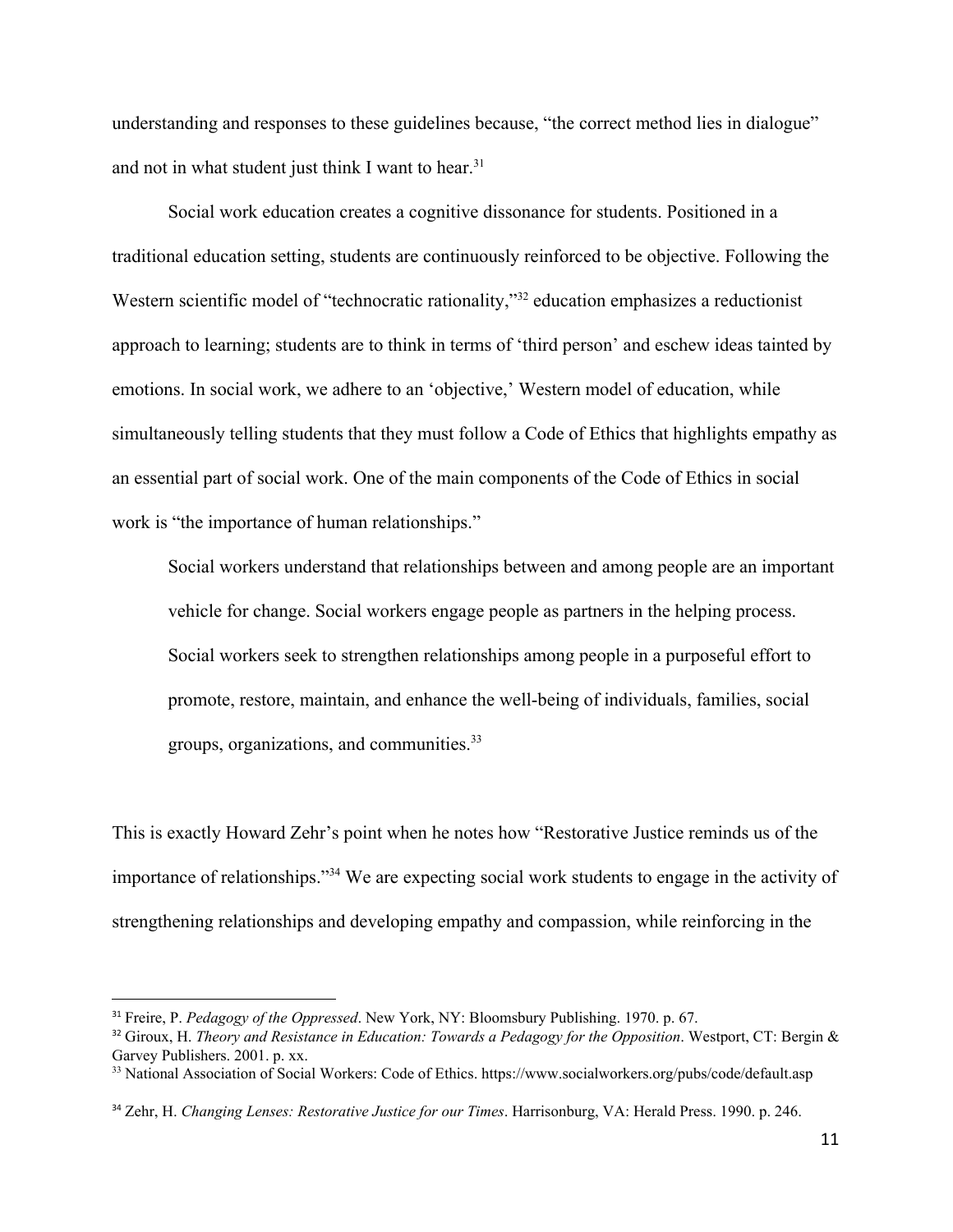understanding and responses to these guidelines because, "the correct method lies in dialogue" and not in what student just think I want to hear.<sup>31</sup>

Social work education creates a cognitive dissonance for students. Positioned in a traditional education setting, students are continuously reinforced to be objective. Following the Western scientific model of "technocratic rationality,"<sup>32</sup> education emphasizes a reductionist approach to learning; students are to think in terms of 'third person' and eschew ideas tainted by emotions. In social work, we adhere to an 'objective,' Western model of education, while simultaneously telling students that they must follow a Code of Ethics that highlights empathy as an essential part of social work. One of the main components of the Code of Ethics in social work is "the importance of human relationships."

Social workers understand that relationships between and among people are an important vehicle for change. Social workers engage people as partners in the helping process. Social workers seek to strengthen relationships among people in a purposeful effort to promote, restore, maintain, and enhance the well-being of individuals, families, social groups, organizations, and communities.<sup>33</sup>

This is exactly Howard Zehr's point when he notes how "Restorative Justice reminds us of the importance of relationships."<sup>34</sup> We are expecting social work students to engage in the activity of strengthening relationships and developing empathy and compassion, while reinforcing in the

<sup>31</sup> Freire, P. *Pedagogy of the Oppressed*. New York, NY: Bloomsbury Publishing. 1970. p. 67.

<sup>32</sup> Giroux, H. *Theory and Resistance in Education: Towards a Pedagogy for the Opposition*. Westport, CT: Bergin & Garvey Publishers. 2001. p. xx.

<sup>33</sup> National Association of Social Workers: Code of Ethics. https://www.socialworkers.org/pubs/code/default.asp

<sup>34</sup> Zehr, H. *Changing Lenses: Restorative Justice for our Times*. Harrisonburg, VA: Herald Press. 1990. p. 246.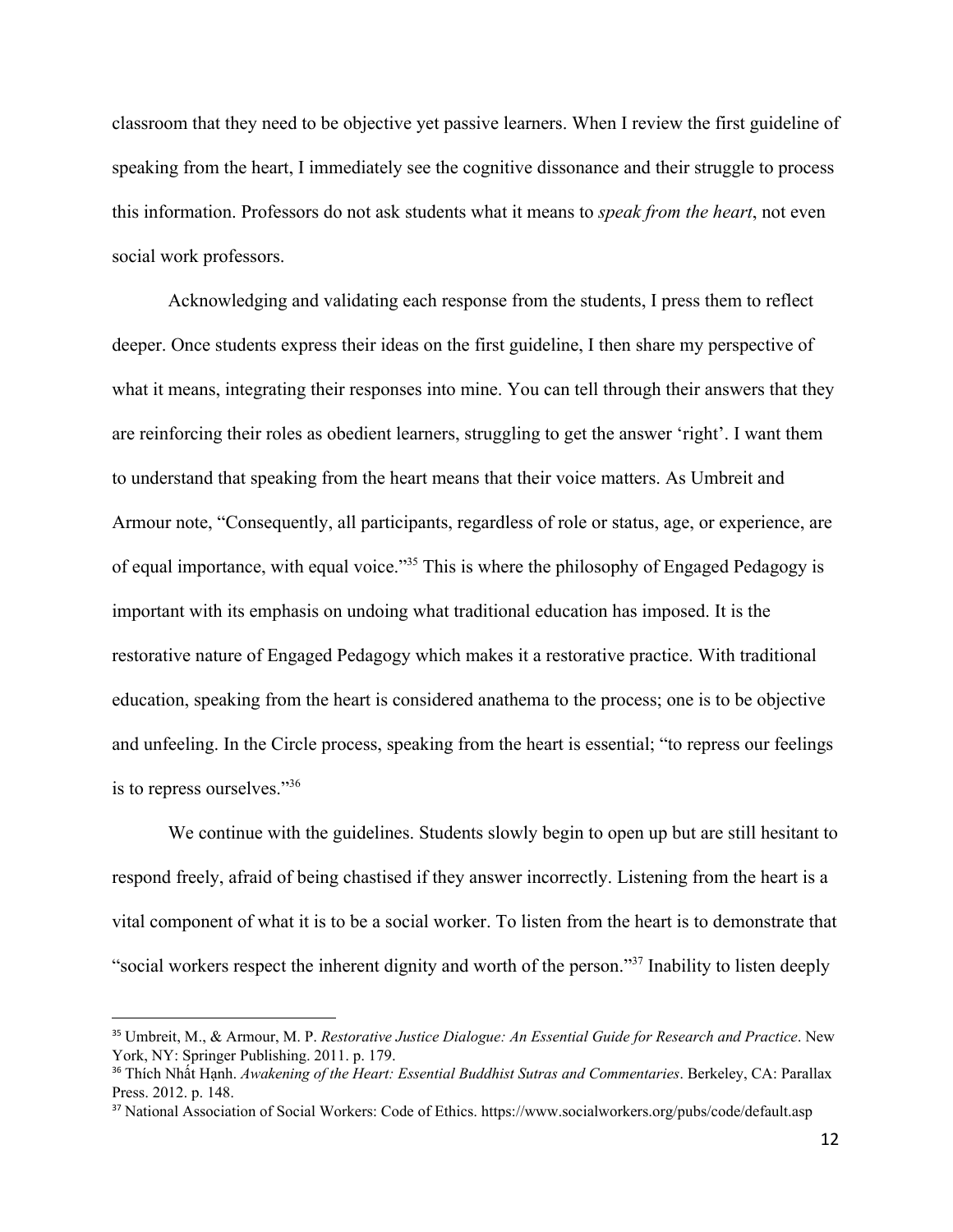classroom that they need to be objective yet passive learners. When I review the first guideline of speaking from the heart, I immediately see the cognitive dissonance and their struggle to process this information. Professors do not ask students what it means to *speak from the heart*, not even social work professors.

Acknowledging and validating each response from the students, I press them to reflect deeper. Once students express their ideas on the first guideline, I then share my perspective of what it means, integrating their responses into mine. You can tell through their answers that they are reinforcing their roles as obedient learners, struggling to get the answer 'right'. I want them to understand that speaking from the heart means that their voice matters. As Umbreit and Armour note, "Consequently, all participants, regardless of role or status, age, or experience, are of equal importance, with equal voice."<sup>35</sup> This is where the philosophy of Engaged Pedagogy is important with its emphasis on undoing what traditional education has imposed. It is the restorative nature of Engaged Pedagogy which makes it a restorative practice. With traditional education, speaking from the heart is considered anathema to the process; one is to be objective and unfeeling. In the Circle process, speaking from the heart is essential; "to repress our feelings is to repress ourselves."<sup>36</sup>

We continue with the guidelines. Students slowly begin to open up but are still hesitant to respond freely, afraid of being chastised if they answer incorrectly. Listening from the heart is a vital component of what it is to be a social worker. To listen from the heart is to demonstrate that "social workers respect the inherent dignity and worth of the person."<sup>37</sup> Inability to listen deeply

<sup>35</sup> Umbreit, M., & Armour, M. P. *Restorative Justice Dialogue: An Essential Guide for Research and Practice*. New York, NY: Springer Publishing. 2011. p. 179.

<sup>36</sup> Thích Nhất Hạnh. *Awakening of the Heart: Essential Buddhist Sutras and Commentaries*. Berkeley, CA: Parallax Press. 2012. p. 148.

<sup>37</sup> National Association of Social Workers: Code of Ethics. https://www.socialworkers.org/pubs/code/default.asp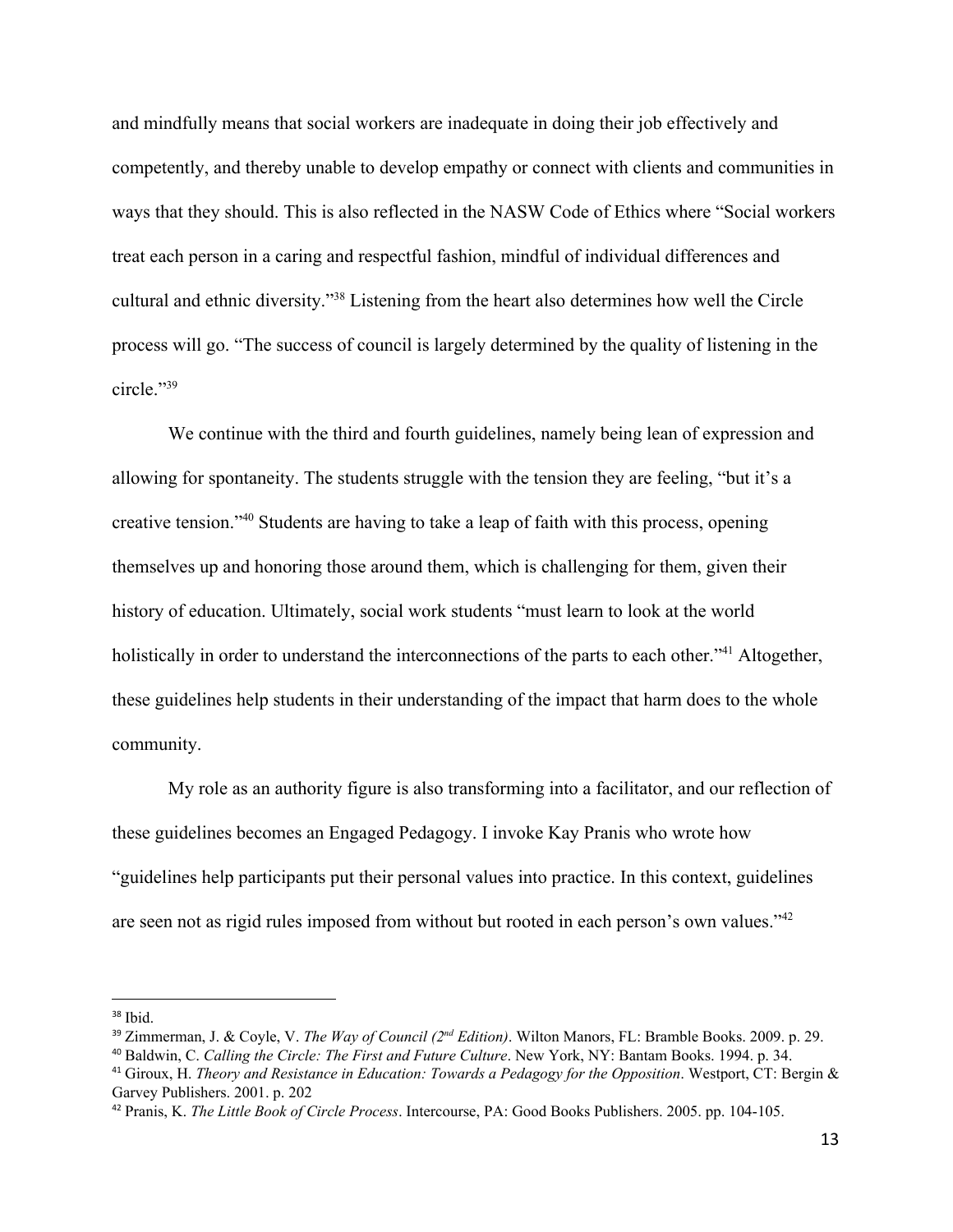and mindfully means that social workers are inadequate in doing their job effectively and competently, and thereby unable to develop empathy or connect with clients and communities in ways that they should. This is also reflected in the NASW Code of Ethics where "Social workers treat each person in a caring and respectful fashion, mindful of individual differences and cultural and ethnic diversity."<sup>38</sup> Listening from the heart also determines how well the Circle process will go. "The success of council is largely determined by the quality of listening in the circle."<sup>39</sup>

We continue with the third and fourth guidelines, namely being lean of expression and allowing for spontaneity. The students struggle with the tension they are feeling, "but it's a creative tension."<sup>40</sup> Students are having to take a leap of faith with this process, opening themselves up and honoring those around them, which is challenging for them, given their history of education. Ultimately, social work students "must learn to look at the world holistically in order to understand the interconnections of the parts to each other."<sup>41</sup> Altogether, these guidelines help students in their understanding of the impact that harm does to the whole community.

My role as an authority figure is also transforming into a facilitator, and our reflection of these guidelines becomes an Engaged Pedagogy. I invoke Kay Pranis who wrote how "guidelines help participants put their personal values into practice. In this context, guidelines are seen not as rigid rules imposed from without but rooted in each person's own values."<sup>42</sup>

 $38$  Ibid.

<sup>39</sup> Zimmerman, J. & Coyle, V. *The Way of Council (2 nd Edition)*. Wilton Manors, FL: Bramble Books. 2009. p. 29.

<sup>40</sup> Baldwin, C. *Calling the Circle: The First and Future Culture*. New York, NY: Bantam Books. 1994. p. 34.

<sup>41</sup> Giroux, H. *Theory and Resistance in Education: Towards a Pedagogy for the Opposition*. Westport, CT: Bergin & Garvey Publishers. 2001. p. 202

<sup>42</sup> Pranis, K. *The Little Book of Circle Process*. Intercourse, PA: Good Books Publishers. 2005. pp. 104-105.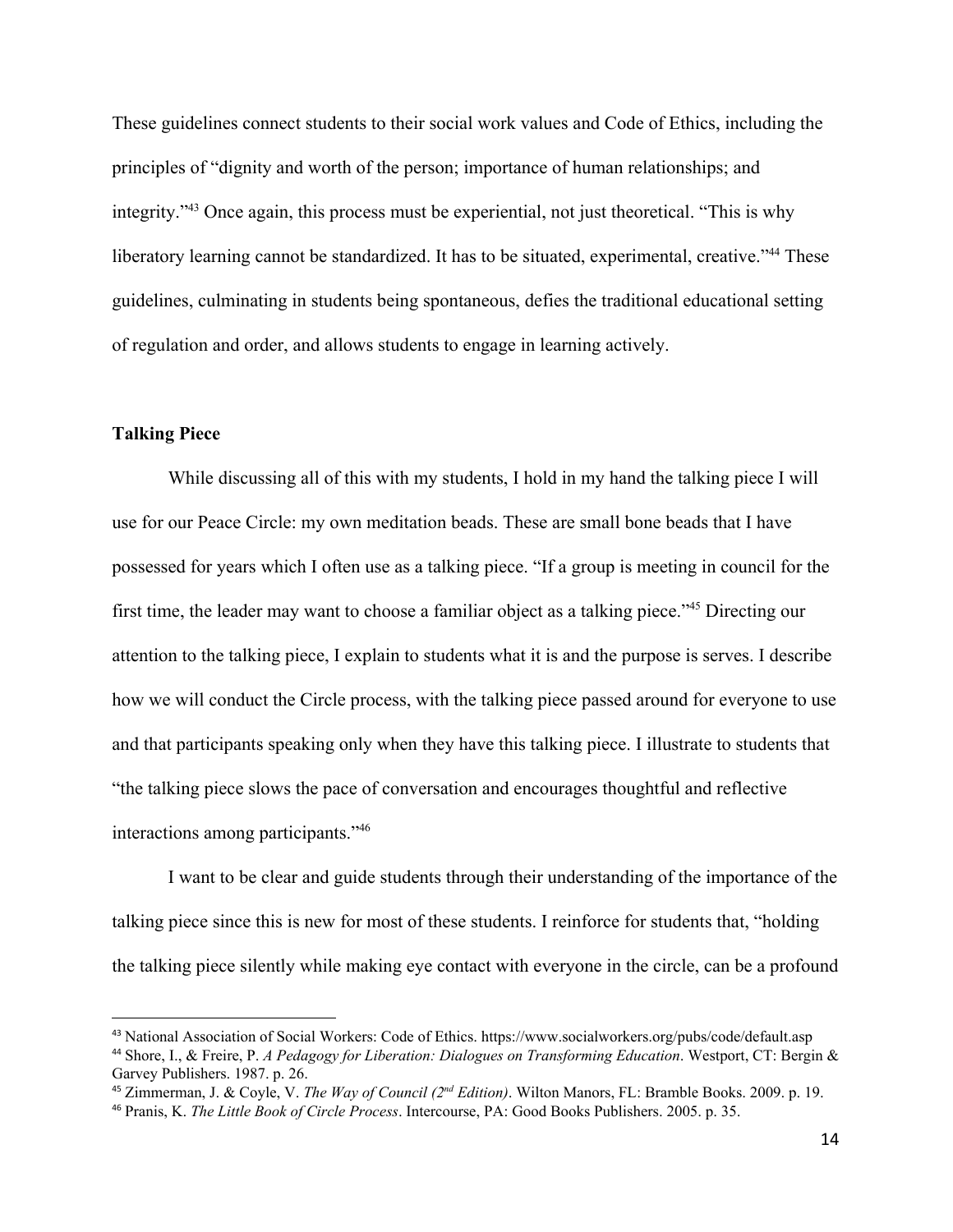These guidelines connect students to their social work values and Code of Ethics, including the principles of "dignity and worth of the person; importance of human relationships; and integrity."<sup>43</sup> Once again, this process must be experiential, not just theoretical. "This is why liberatory learning cannot be standardized. It has to be situated, experimental, creative."<sup>44</sup> These guidelines, culminating in students being spontaneous, defies the traditional educational setting of regulation and order, and allows students to engage in learning actively.

## **Talking Piece**

While discussing all of this with my students, I hold in my hand the talking piece I will use for our Peace Circle: my own meditation beads. These are small bone beads that I have possessed for years which I often use as a talking piece. "If a group is meeting in council for the first time, the leader may want to choose a familiar object as a talking piece."<sup>45</sup> Directing our attention to the talking piece, I explain to students what it is and the purpose is serves. I describe how we will conduct the Circle process, with the talking piece passed around for everyone to use and that participants speaking only when they have this talking piece. I illustrate to students that "the talking piece slows the pace of conversation and encourages thoughtful and reflective interactions among participants."<sup>46</sup>

I want to be clear and guide students through their understanding of the importance of the talking piece since this is new for most of these students. I reinforce for students that, "holding the talking piece silently while making eye contact with everyone in the circle, can be a profound

<sup>43</sup> National Association of Social Workers: Code of Ethics. https://www.socialworkers.org/pubs/code/default.asp <sup>44</sup> Shore, I., & Freire, P. *A Pedagogy for Liberation: Dialogues on Transforming Education*. Westport, CT: Bergin & Garvey Publishers. 1987. p. 26.

<sup>45</sup> Zimmerman, J. & Coyle, V. *The Way of Council (2 nd Edition)*. Wilton Manors, FL: Bramble Books. 2009. p. 19.

<sup>46</sup> Pranis, K. *The Little Book of Circle Process*. Intercourse, PA: Good Books Publishers. 2005. p. 35.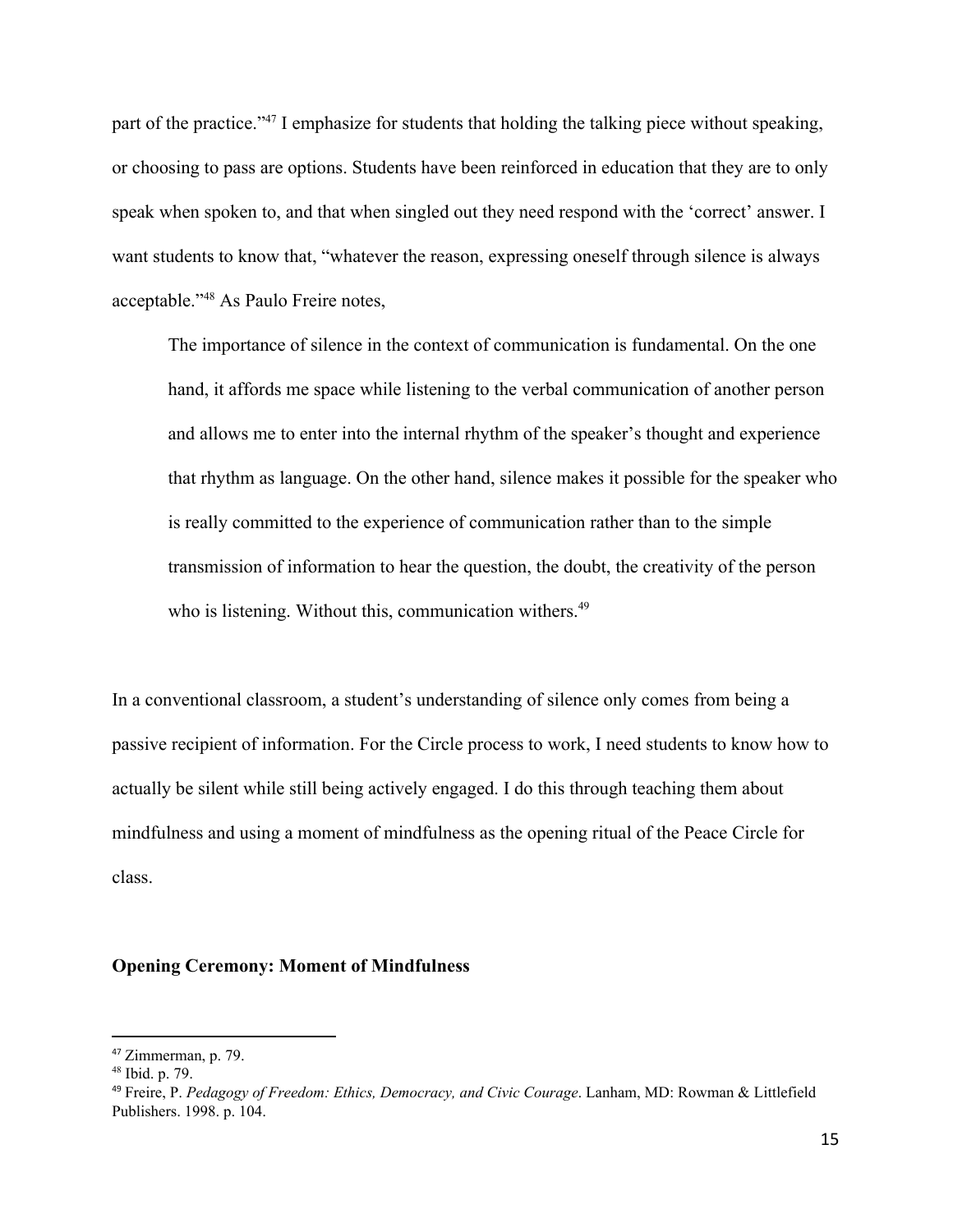part of the practice."<sup>47</sup> I emphasize for students that holding the talking piece without speaking, or choosing to pass are options. Students have been reinforced in education that they are to only speak when spoken to, and that when singled out they need respond with the 'correct' answer. I want students to know that, "whatever the reason, expressing oneself through silence is always acceptable."<sup>48</sup> As Paulo Freire notes,

The importance of silence in the context of communication is fundamental. On the one hand, it affords me space while listening to the verbal communication of another person and allows me to enter into the internal rhythm of the speaker's thought and experience that rhythm as language. On the other hand, silence makes it possible for the speaker who is really committed to the experience of communication rather than to the simple transmission of information to hear the question, the doubt, the creativity of the person who is listening. Without this, communication withers.<sup>49</sup>

In a conventional classroom, a student's understanding of silence only comes from being a passive recipient of information. For the Circle process to work, I need students to know how to actually be silent while still being actively engaged. I do this through teaching them about mindfulness and using a moment of mindfulness as the opening ritual of the Peace Circle for class.

## **Opening Ceremony: Moment of Mindfulness**

<sup>47</sup> Zimmerman, p. 79.

<sup>48</sup> Ibid. p. 79.

<sup>49</sup> Freire, P. *Pedagogy of Freedom: Ethics, Democracy, and Civic Courage*. Lanham, MD: Rowman & Littlefield Publishers. 1998. p. 104.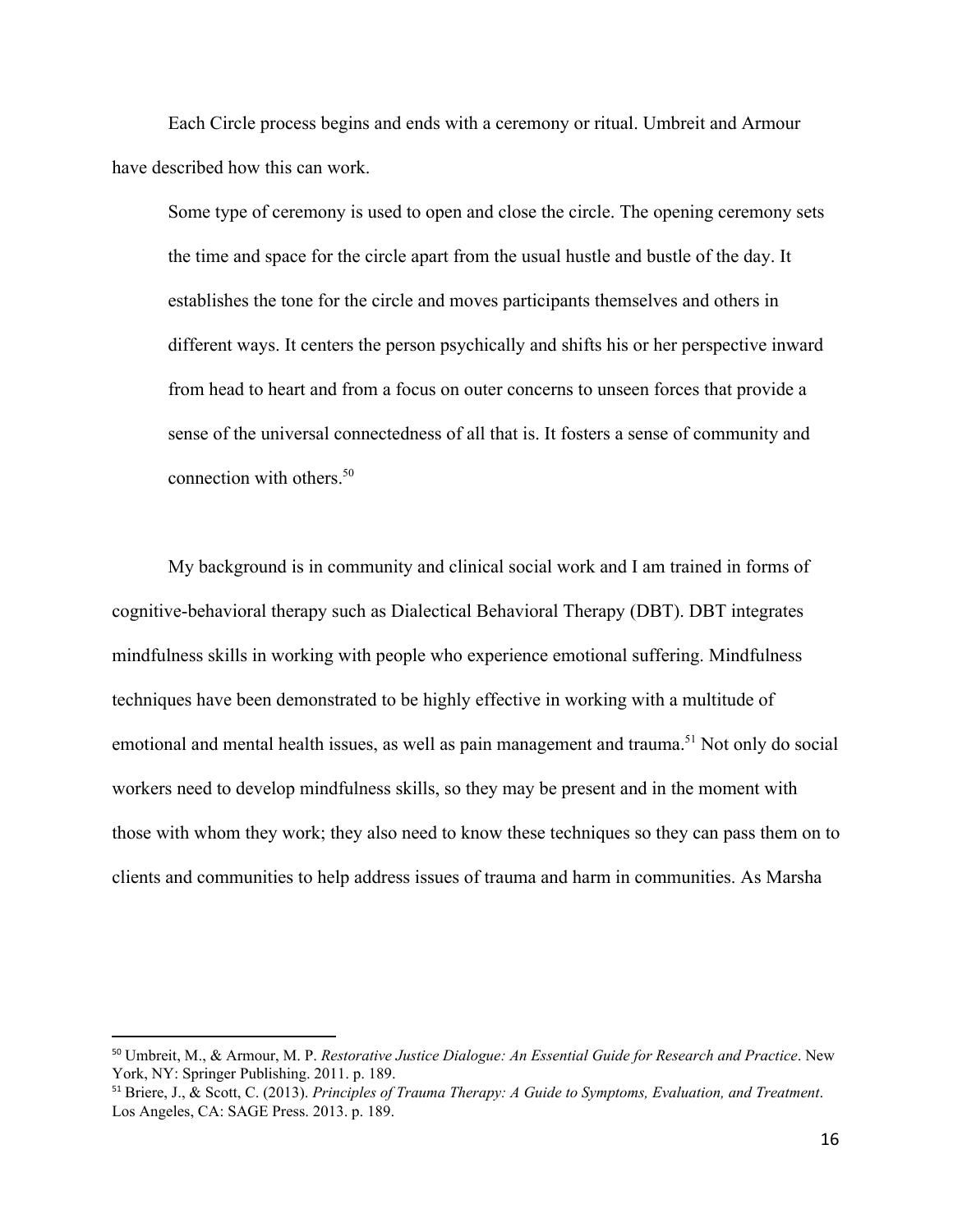Each Circle process begins and ends with a ceremony or ritual. Umbreit and Armour have described how this can work.

Some type of ceremony is used to open and close the circle. The opening ceremony sets the time and space for the circle apart from the usual hustle and bustle of the day. It establishes the tone for the circle and moves participants themselves and others in different ways. It centers the person psychically and shifts his or her perspective inward from head to heart and from a focus on outer concerns to unseen forces that provide a sense of the universal connectedness of all that is. It fosters a sense of community and connection with others.<sup>50</sup>

My background is in community and clinical social work and I am trained in forms of cognitive-behavioral therapy such as Dialectical Behavioral Therapy (DBT). DBT integrates mindfulness skills in working with people who experience emotional suffering. Mindfulness techniques have been demonstrated to be highly effective in working with a multitude of emotional and mental health issues, as well as pain management and trauma.<sup>51</sup> Not only do social workers need to develop mindfulness skills, so they may be present and in the moment with those with whom they work; they also need to know these techniques so they can pass them on to clients and communities to help address issues of trauma and harm in communities. As Marsha

<sup>50</sup> Umbreit, M., & Armour, M. P. *Restorative Justice Dialogue: An Essential Guide for Research and Practice*. New York, NY: Springer Publishing. 2011. p. 189.

<sup>51</sup> Briere, J., & Scott, C. (2013). *Principles of Trauma Therapy: A Guide to Symptoms, Evaluation, and Treatment*. Los Angeles, CA: SAGE Press. 2013. p. 189.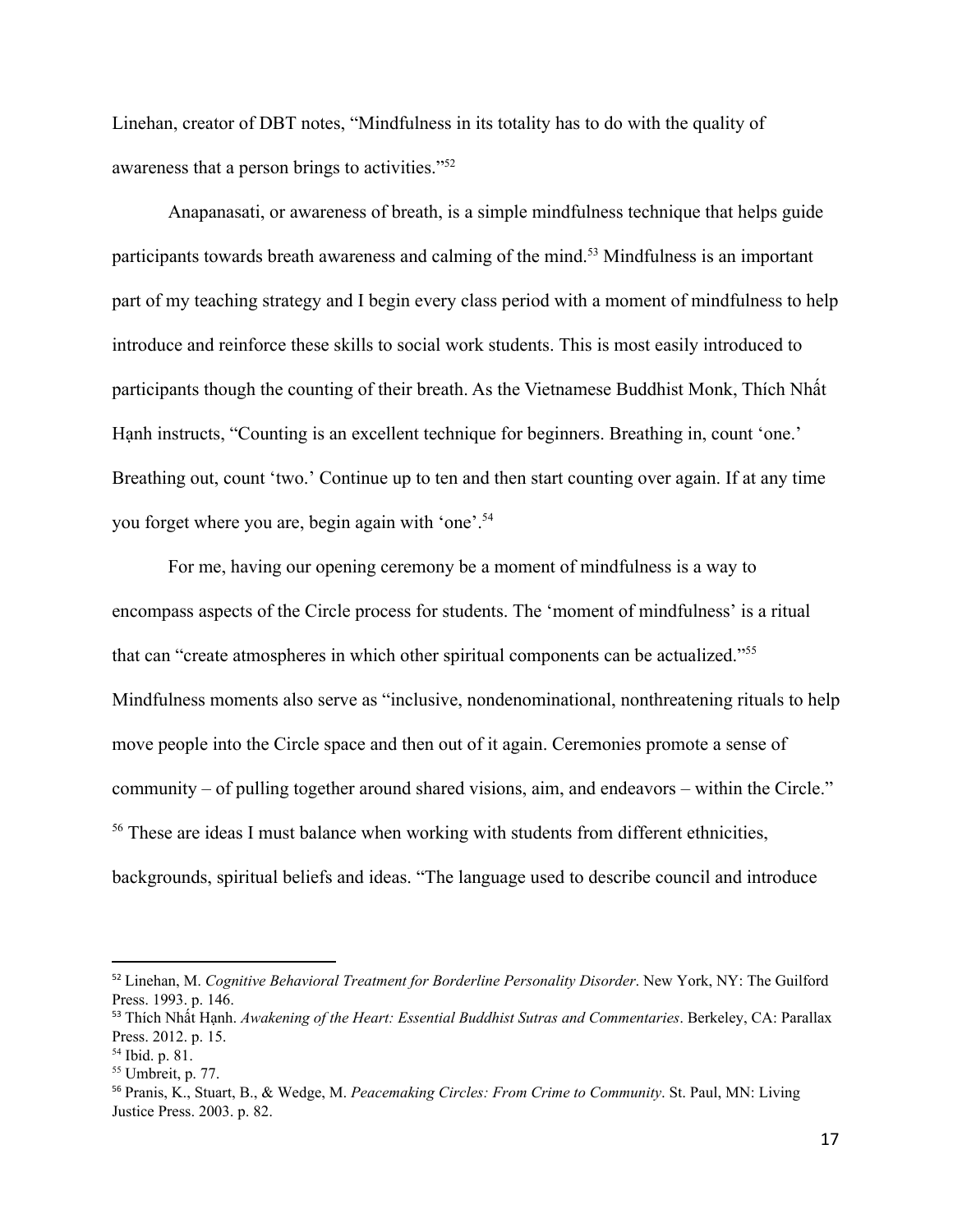Linehan, creator of DBT notes, "Mindfulness in its totality has to do with the quality of awareness that a person brings to activities."<sup>52</sup>

Anapanasati, or awareness of breath, is a simple mindfulness technique that helps guide participants towards breath awareness and calming of the mind.<sup>53</sup> Mindfulness is an important part of my teaching strategy and I begin every class period with a moment of mindfulness to help introduce and reinforce these skills to social work students. This is most easily introduced to participants though the counting of their breath. As the Vietnamese Buddhist Monk, Thích Nhất Hạnh instructs, "Counting is an excellent technique for beginners. Breathing in, count 'one.' Breathing out, count 'two.' Continue up to ten and then start counting over again. If at any time you forget where you are, begin again with 'one'.<sup>54</sup>

For me, having our opening ceremony be a moment of mindfulness is a way to encompass aspects of the Circle process for students. The 'moment of mindfulness' is a ritual that can "create atmospheres in which other spiritual components can be actualized."<sup>55</sup> Mindfulness moments also serve as "inclusive, nondenominational, nonthreatening rituals to help move people into the Circle space and then out of it again. Ceremonies promote a sense of community – of pulling together around shared visions, aim, and endeavors – within the Circle." <sup>56</sup> These are ideas I must balance when working with students from different ethnicities, backgrounds, spiritual beliefs and ideas. "The language used to describe council and introduce

<sup>52</sup> Linehan, M. *Cognitive Behavioral Treatment for Borderline Personality Disorder*. New York, NY: The Guilford Press. 1993. p. 146.

<sup>53</sup> Thích Nhất Hạnh. *Awakening of the Heart: Essential Buddhist Sutras and Commentaries*. Berkeley, CA: Parallax Press. 2012. p. 15.

<sup>54</sup> Ibid. p. 81.

<sup>55</sup> Umbreit, p. 77.

<sup>56</sup> Pranis, K., Stuart, B., & Wedge, M. *Peacemaking Circles: From Crime to Community*. St. Paul, MN: Living Justice Press. 2003. p. 82.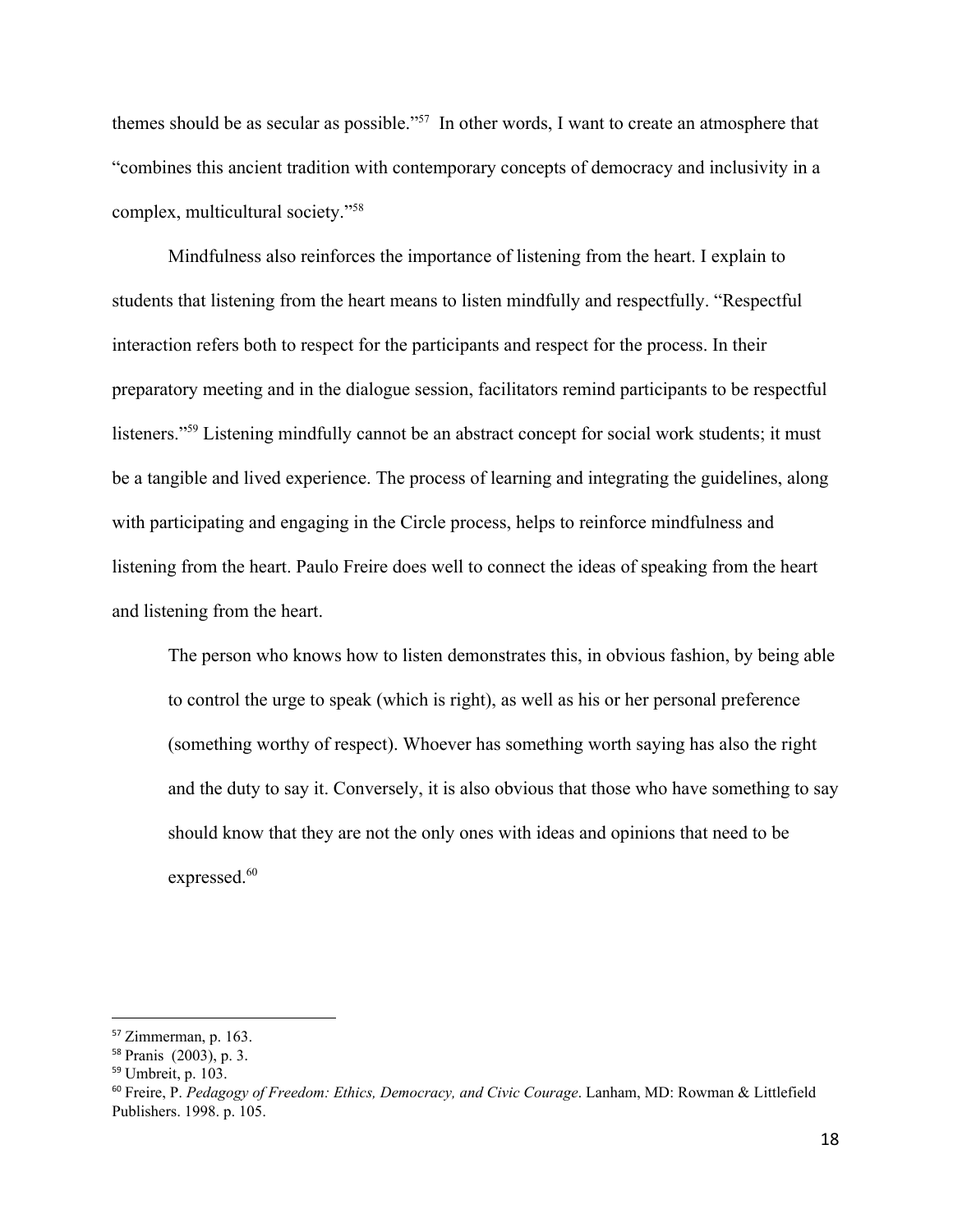themes should be as secular as possible."<sup>57</sup> In other words, I want to create an atmosphere that "combines this ancient tradition with contemporary concepts of democracy and inclusivity in a complex, multicultural society."<sup>58</sup>

Mindfulness also reinforces the importance of listening from the heart. I explain to students that listening from the heart means to listen mindfully and respectfully. "Respectful interaction refers both to respect for the participants and respect for the process. In their preparatory meeting and in the dialogue session, facilitators remind participants to be respectful listeners."<sup>59</sup> Listening mindfully cannot be an abstract concept for social work students; it must be a tangible and lived experience. The process of learning and integrating the guidelines, along with participating and engaging in the Circle process, helps to reinforce mindfulness and listening from the heart. Paulo Freire does well to connect the ideas of speaking from the heart and listening from the heart.

The person who knows how to listen demonstrates this, in obvious fashion, by being able to control the urge to speak (which is right), as well as his or her personal preference (something worthy of respect). Whoever has something worth saying has also the right and the duty to say it. Conversely, it is also obvious that those who have something to say should know that they are not the only ones with ideas and opinions that need to be expressed.<sup>60</sup>

<sup>57</sup> Zimmerman, p. 163.

<sup>58</sup> Pranis (2003), p. 3.

<sup>59</sup> Umbreit, p. 103.

<sup>60</sup> Freire, P. *Pedagogy of Freedom: Ethics, Democracy, and Civic Courage*. Lanham, MD: Rowman & Littlefield Publishers. 1998. p. 105.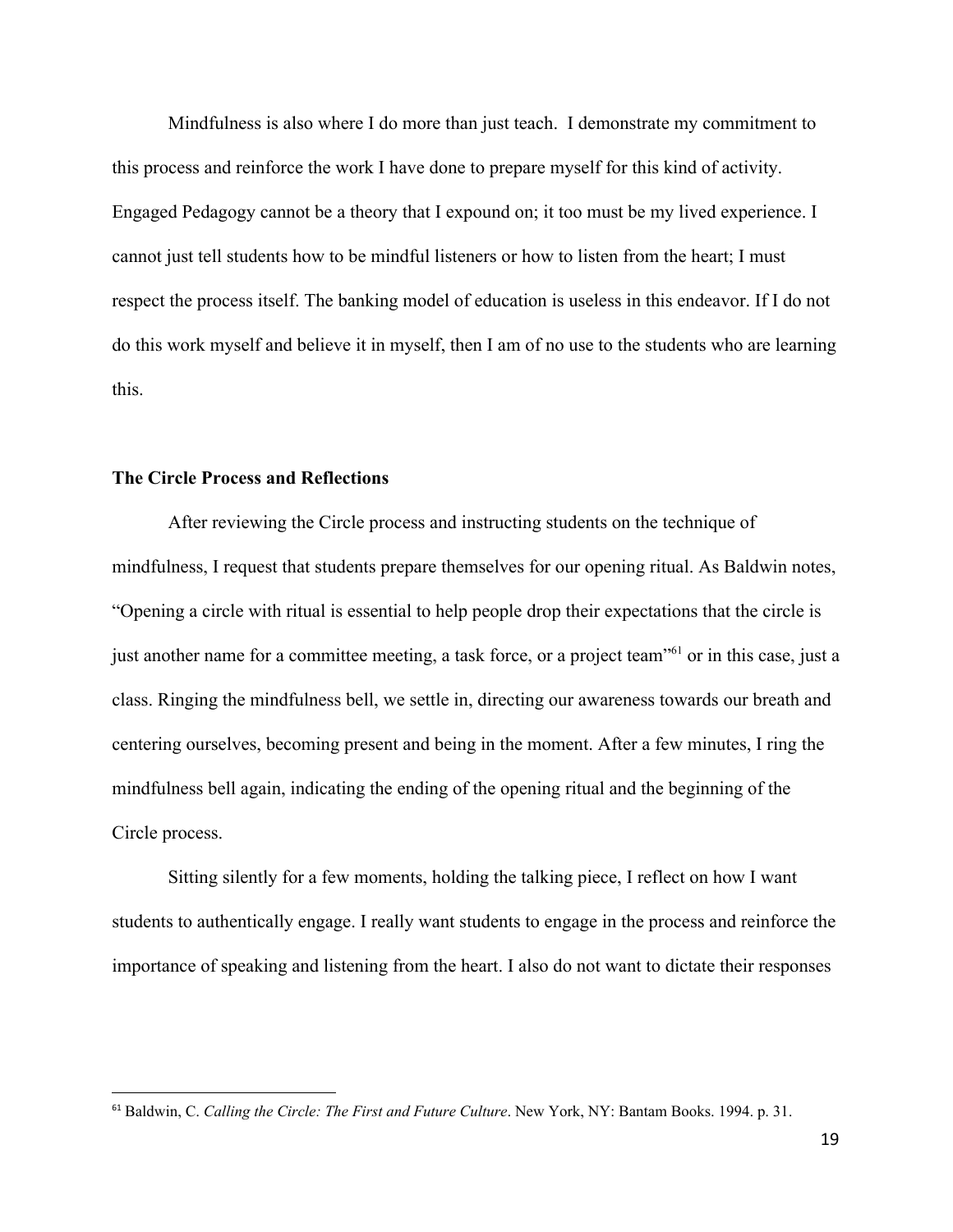Mindfulness is also where I do more than just teach. I demonstrate my commitment to this process and reinforce the work I have done to prepare myself for this kind of activity. Engaged Pedagogy cannot be a theory that I expound on; it too must be my lived experience. I cannot just tell students how to be mindful listeners or how to listen from the heart; I must respect the process itself. The banking model of education is useless in this endeavor. If I do not do this work myself and believe it in myself, then I am of no use to the students who are learning this.

#### **The Circle Process and Reflections**

After reviewing the Circle process and instructing students on the technique of mindfulness, I request that students prepare themselves for our opening ritual. As Baldwin notes, "Opening a circle with ritual is essential to help people drop their expectations that the circle is just another name for a committee meeting, a task force, or a project team<sup>"61</sup> or in this case, just a class. Ringing the mindfulness bell, we settle in, directing our awareness towards our breath and centering ourselves, becoming present and being in the moment. After a few minutes, I ring the mindfulness bell again, indicating the ending of the opening ritual and the beginning of the Circle process.

Sitting silently for a few moments, holding the talking piece, I reflect on how I want students to authentically engage. I really want students to engage in the process and reinforce the importance of speaking and listening from the heart. I also do not want to dictate their responses

<sup>61</sup> Baldwin, C. *Calling the Circle: The First and Future Culture*. New York, NY: Bantam Books. 1994. p. 31.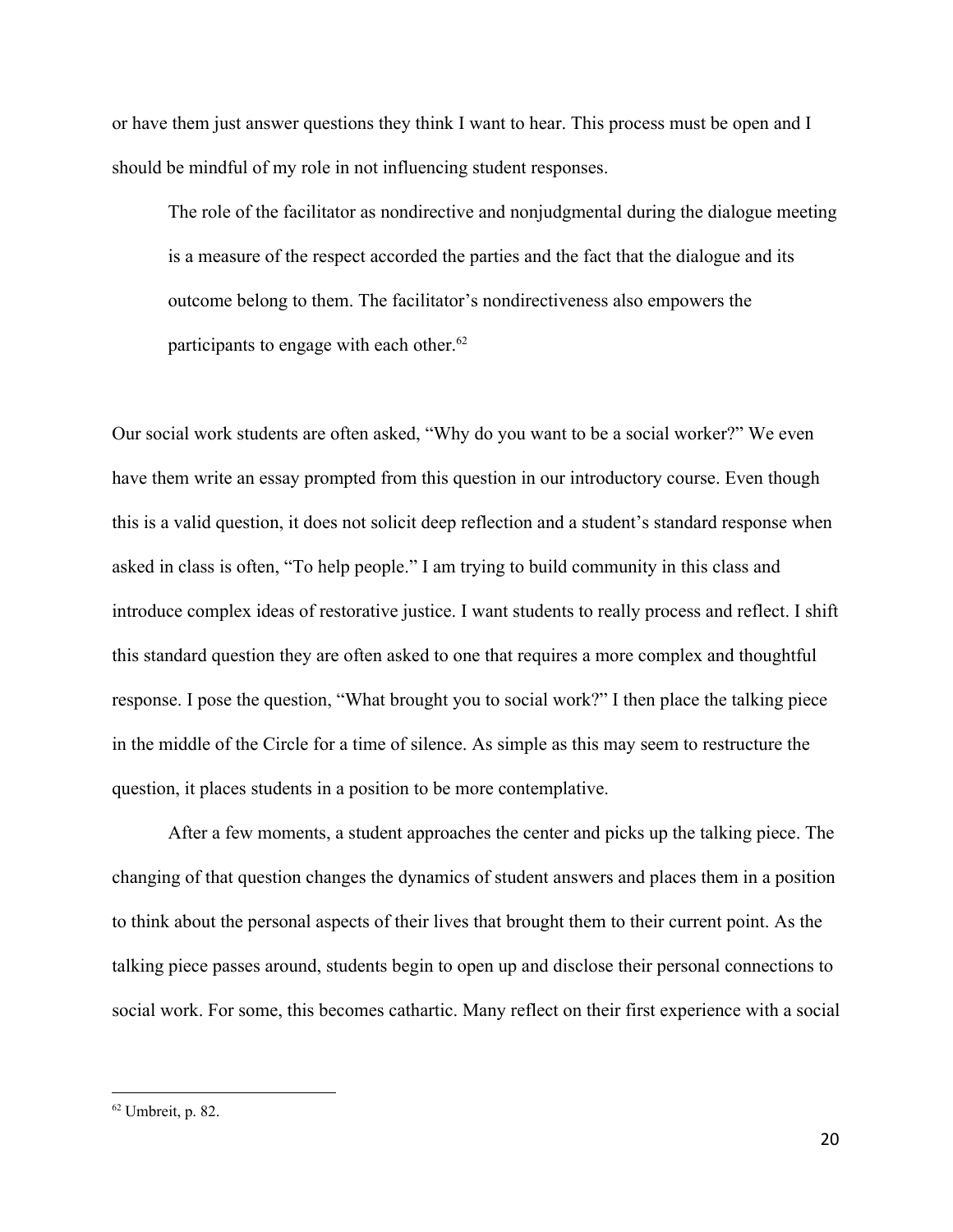or have them just answer questions they think I want to hear. This process must be open and I should be mindful of my role in not influencing student responses.

The role of the facilitator as nondirective and nonjudgmental during the dialogue meeting is a measure of the respect accorded the parties and the fact that the dialogue and its outcome belong to them. The facilitator's nondirectiveness also empowers the participants to engage with each other. $62$ 

Our social work students are often asked, "Why do you want to be a social worker?" We even have them write an essay prompted from this question in our introductory course. Even though this is a valid question, it does not solicit deep reflection and a student's standard response when asked in class is often, "To help people." I am trying to build community in this class and introduce complex ideas of restorative justice. I want students to really process and reflect. I shift this standard question they are often asked to one that requires a more complex and thoughtful response. I pose the question, "What brought you to social work?" I then place the talking piece in the middle of the Circle for a time of silence. As simple as this may seem to restructure the question, it places students in a position to be more contemplative.

After a few moments, a student approaches the center and picks up the talking piece. The changing of that question changes the dynamics of student answers and places them in a position to think about the personal aspects of their lives that brought them to their current point. As the talking piece passes around, students begin to open up and disclose their personal connections to social work. For some, this becomes cathartic. Many reflect on their first experience with a social

 $62$  Umbreit, p. 82.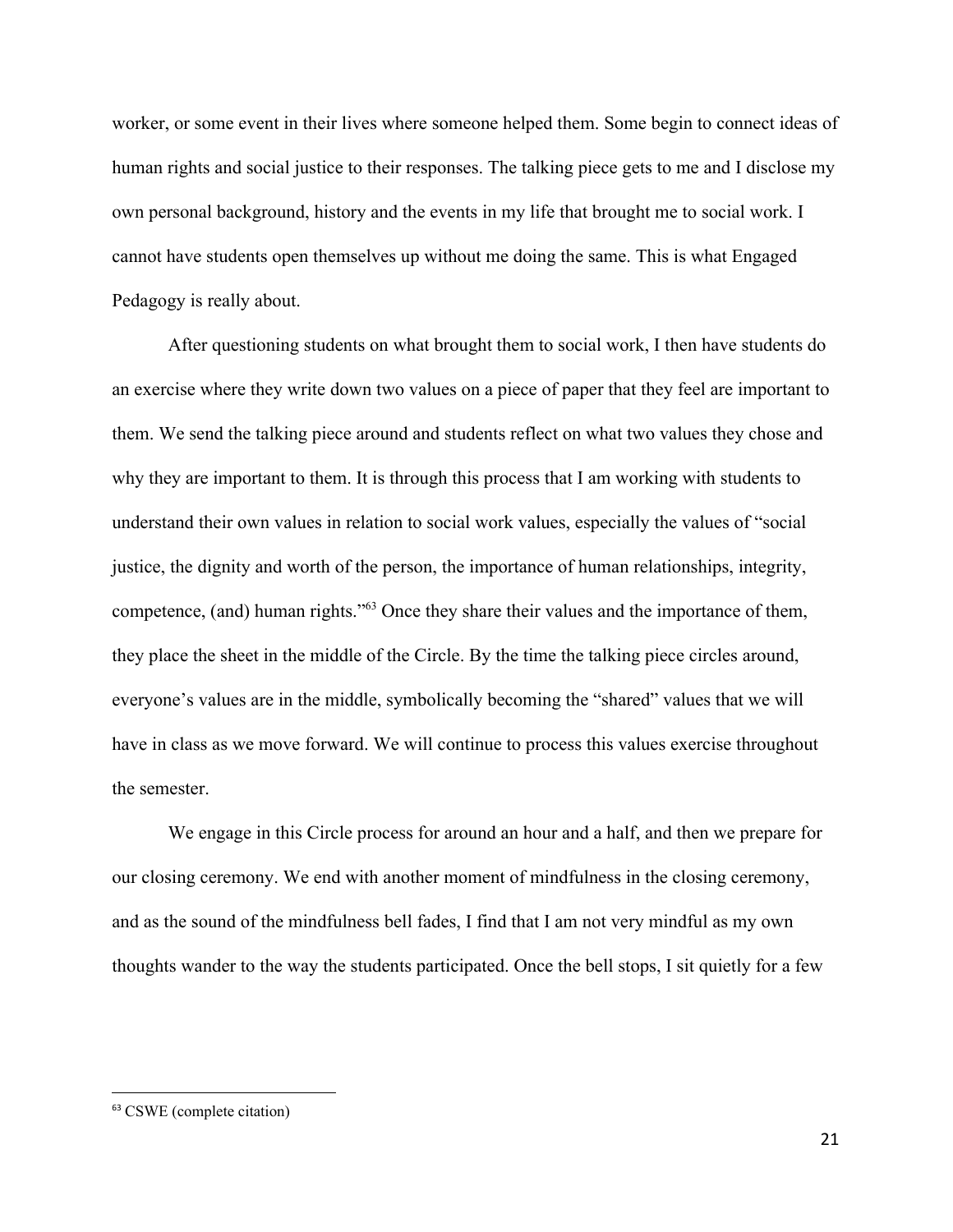worker, or some event in their lives where someone helped them. Some begin to connect ideas of human rights and social justice to their responses. The talking piece gets to me and I disclose my own personal background, history and the events in my life that brought me to social work. I cannot have students open themselves up without me doing the same. This is what Engaged Pedagogy is really about.

After questioning students on what brought them to social work, I then have students do an exercise where they write down two values on a piece of paper that they feel are important to them. We send the talking piece around and students reflect on what two values they chose and why they are important to them. It is through this process that I am working with students to understand their own values in relation to social work values, especially the values of "social justice, the dignity and worth of the person, the importance of human relationships, integrity, competence, (and) human rights."<sup>63</sup> Once they share their values and the importance of them, they place the sheet in the middle of the Circle. By the time the talking piece circles around, everyone's values are in the middle, symbolically becoming the "shared" values that we will have in class as we move forward. We will continue to process this values exercise throughout the semester.

We engage in this Circle process for around an hour and a half, and then we prepare for our closing ceremony. We end with another moment of mindfulness in the closing ceremony, and as the sound of the mindfulness bell fades, I find that I am not very mindful as my own thoughts wander to the way the students participated. Once the bell stops, I sit quietly for a few

<sup>63</sup> CSWE (complete citation)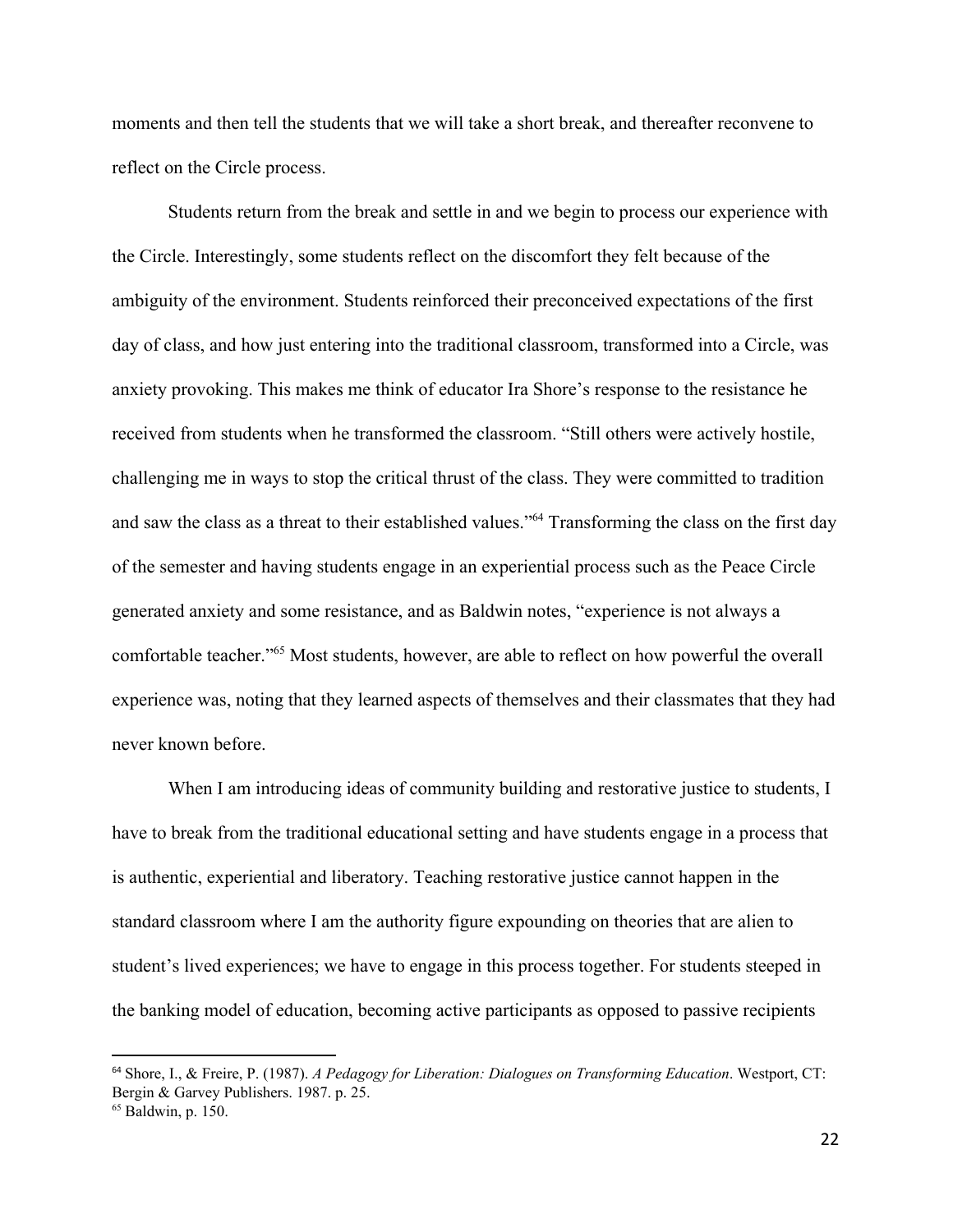moments and then tell the students that we will take a short break, and thereafter reconvene to reflect on the Circle process.

Students return from the break and settle in and we begin to process our experience with the Circle. Interestingly, some students reflect on the discomfort they felt because of the ambiguity of the environment. Students reinforced their preconceived expectations of the first day of class, and how just entering into the traditional classroom, transformed into a Circle, was anxiety provoking. This makes me think of educator Ira Shore's response to the resistance he received from students when he transformed the classroom. "Still others were actively hostile, challenging me in ways to stop the critical thrust of the class. They were committed to tradition and saw the class as a threat to their established values."<sup>64</sup> Transforming the class on the first day of the semester and having students engage in an experiential process such as the Peace Circle generated anxiety and some resistance, and as Baldwin notes, "experience is not always a comfortable teacher."<sup>65</sup> Most students, however, are able to reflect on how powerful the overall experience was, noting that they learned aspects of themselves and their classmates that they had never known before.

When I am introducing ideas of community building and restorative justice to students, I have to break from the traditional educational setting and have students engage in a process that is authentic, experiential and liberatory. Teaching restorative justice cannot happen in the standard classroom where I am the authority figure expounding on theories that are alien to student's lived experiences; we have to engage in this process together. For students steeped in the banking model of education, becoming active participants as opposed to passive recipients

<sup>64</sup> Shore, I., & Freire, P. (1987). *A Pedagogy for Liberation: Dialogues on Transforming Education*. Westport, CT: Bergin & Garvey Publishers. 1987. p. 25.

 $65$  Baldwin, p. 150.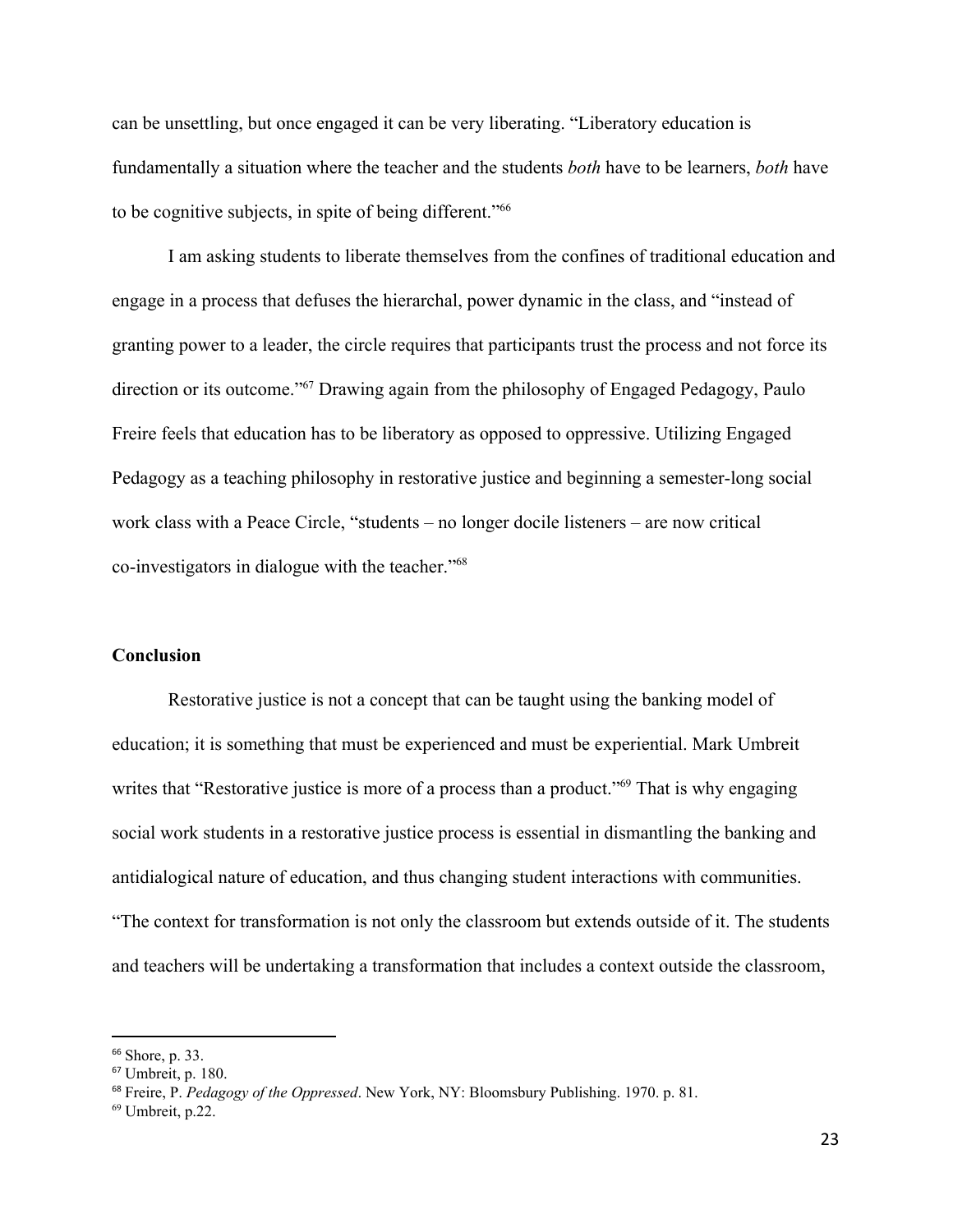can be unsettling, but once engaged it can be very liberating. "Liberatory education is fundamentally a situation where the teacher and the students *both* have to be learners, *both* have to be cognitive subjects, in spite of being different."<sup>66</sup>

I am asking students to liberate themselves from the confines of traditional education and engage in a process that defuses the hierarchal, power dynamic in the class, and "instead of granting power to a leader, the circle requires that participants trust the process and not force its direction or its outcome."<sup>67</sup> Drawing again from the philosophy of Engaged Pedagogy, Paulo Freire feels that education has to be liberatory as opposed to oppressive. Utilizing Engaged Pedagogy as a teaching philosophy in restorative justice and beginning a semester-long social work class with a Peace Circle, "students – no longer docile listeners – are now critical co-investigators in dialogue with the teacher."<sup>68</sup>

## **Conclusion**

Restorative justice is not a concept that can be taught using the banking model of education; it is something that must be experienced and must be experiential. Mark Umbreit writes that "Restorative justice is more of a process than a product." $69$  That is why engaging social work students in a restorative justice process is essential in dismantling the banking and antidialogical nature of education, and thus changing student interactions with communities. "The context for transformation is not only the classroom but extends outside of it. The students and teachers will be undertaking a transformation that includes a context outside the classroom,

<sup>66</sup> Shore, p. 33.

<sup>67</sup> Umbreit, p. 180.

<sup>68</sup> Freire, P. *Pedagogy of the Oppressed*. New York, NY: Bloomsbury Publishing. 1970. p. 81.

 $69$  Umbreit, p.22.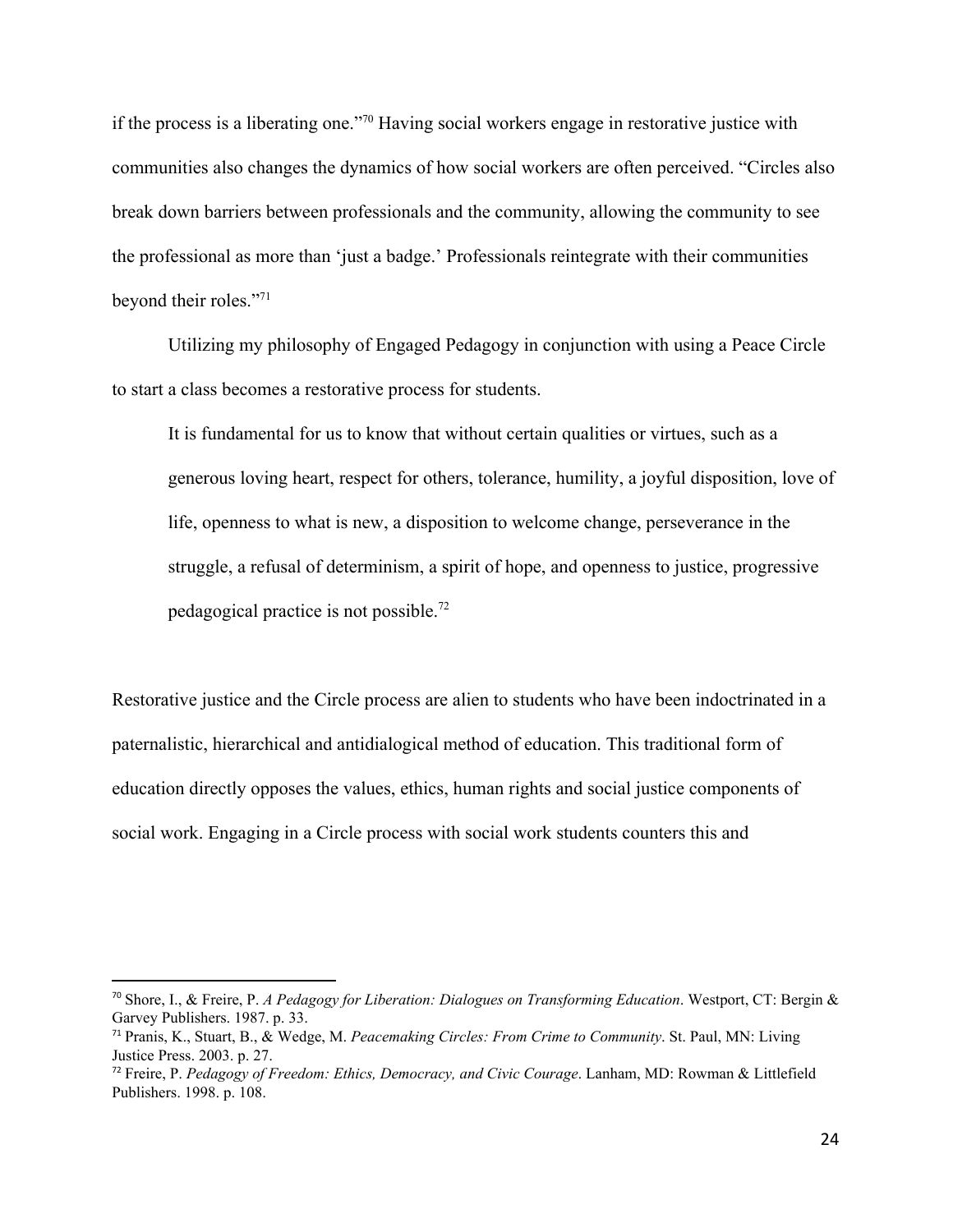if the process is a liberating one."<sup>70</sup> Having social workers engage in restorative justice with communities also changes the dynamics of how social workers are often perceived. "Circles also break down barriers between professionals and the community, allowing the community to see the professional as more than 'just a badge.' Professionals reintegrate with their communities beyond their roles."<sup>71</sup>

Utilizing my philosophy of Engaged Pedagogy in conjunction with using a Peace Circle to start a class becomes a restorative process for students.

It is fundamental for us to know that without certain qualities or virtues, such as a generous loving heart, respect for others, tolerance, humility, a joyful disposition, love of life, openness to what is new, a disposition to welcome change, perseverance in the struggle, a refusal of determinism, a spirit of hope, and openness to justice, progressive pedagogical practice is not possible.<sup>72</sup>

Restorative justice and the Circle process are alien to students who have been indoctrinated in a paternalistic, hierarchical and antidialogical method of education. This traditional form of education directly opposes the values, ethics, human rights and social justice components of social work. Engaging in a Circle process with social work students counters this and

<sup>70</sup> Shore, I., & Freire, P. *A Pedagogy for Liberation: Dialogues on Transforming Education*. Westport, CT: Bergin & Garvey Publishers. 1987. p. 33.

<sup>71</sup> Pranis, K., Stuart, B., & Wedge, M. *Peacemaking Circles: From Crime to Community*. St. Paul, MN: Living Justice Press. 2003. p. 27.

<sup>72</sup> Freire, P. *Pedagogy of Freedom: Ethics, Democracy, and Civic Courage*. Lanham, MD: Rowman & Littlefield Publishers. 1998. p. 108.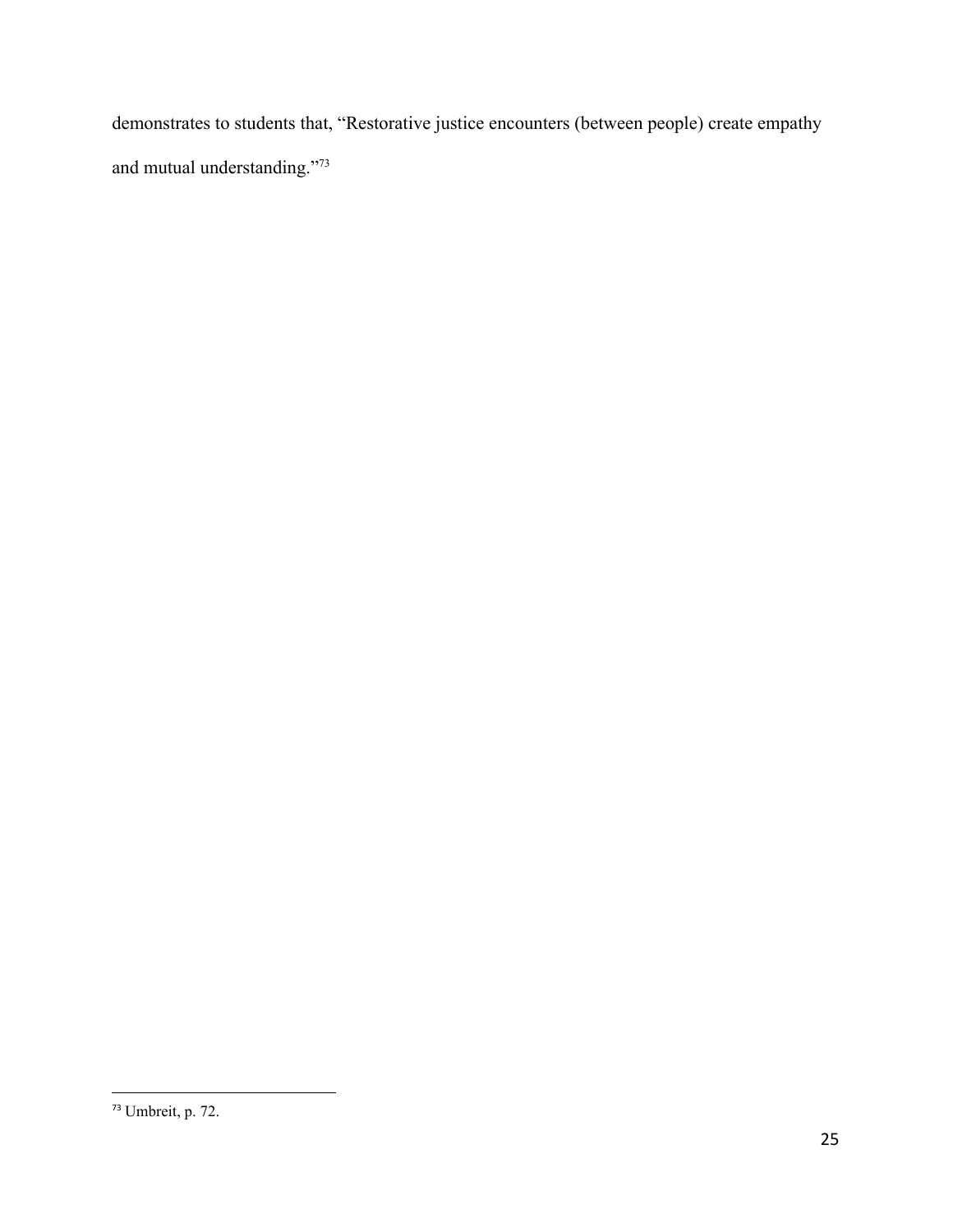demonstrates to students that, "Restorative justice encounters (between people) create empathy and mutual understanding."<sup>73</sup>

<sup>73</sup> Umbreit, p. 72.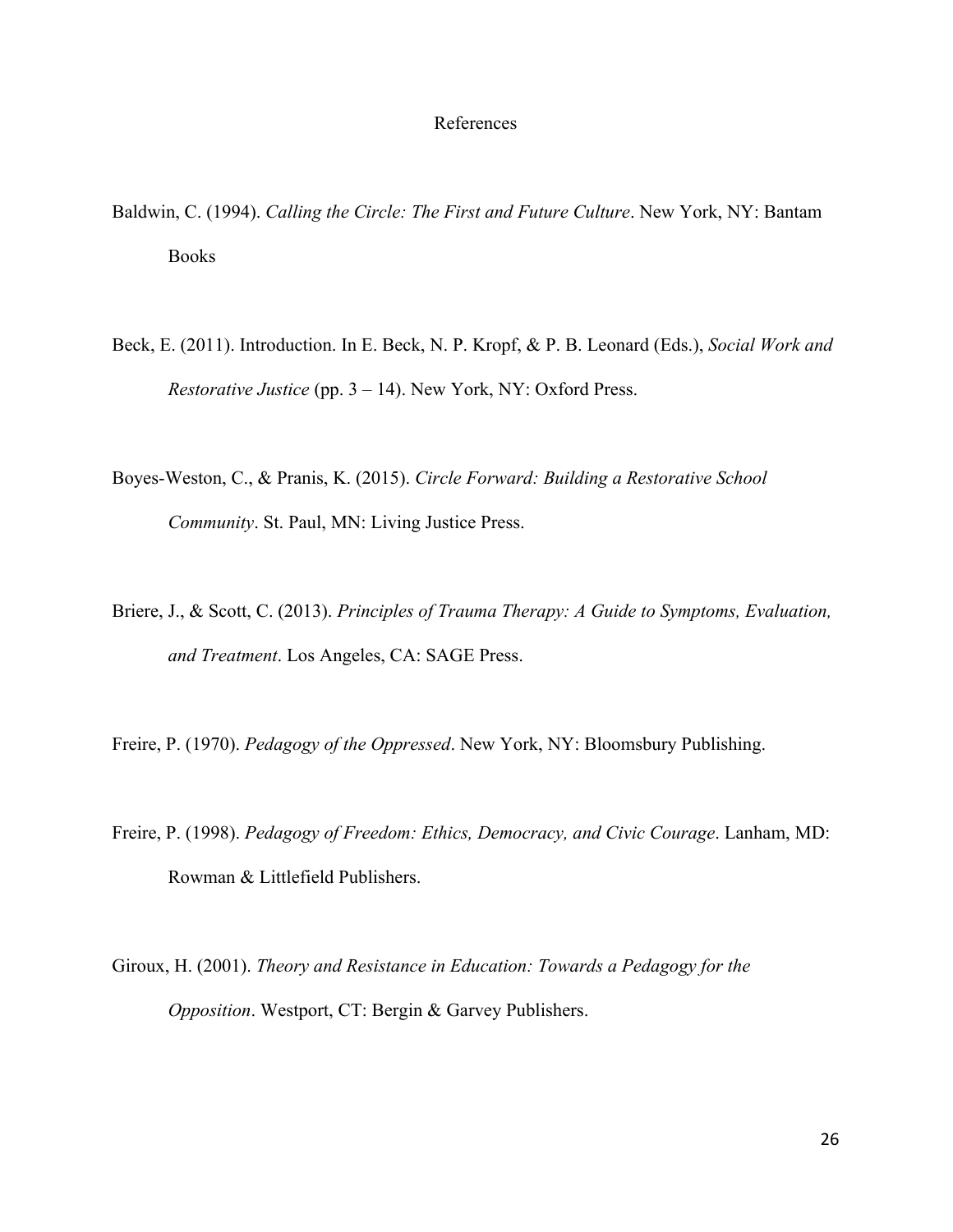# References

- Baldwin, C. (1994). *Calling the Circle: The First and Future Culture*. New York, NY: Bantam Books
- Beck, E. (2011). Introduction. In E. Beck, N. P. Kropf, & P. B. Leonard (Eds.), *Social Work and Restorative Justice* (pp. 3 – 14). New York, NY: Oxford Press.
- Boyes-Weston, C., & Pranis, K. (2015). *Circle Forward: Building a Restorative School Community*. St. Paul, MN: Living Justice Press.
- Briere, J., & Scott, C. (2013). *Principles of Trauma Therapy: A Guide to Symptoms, Evaluation, and Treatment*. Los Angeles, CA: SAGE Press.
- Freire, P. (1970). *Pedagogy of the Oppressed*. New York, NY: Bloomsbury Publishing.
- Freire, P. (1998). *Pedagogy of Freedom: Ethics, Democracy, and Civic Courage*. Lanham, MD: Rowman & Littlefield Publishers.
- Giroux, H. (2001). *Theory and Resistance in Education: Towards a Pedagogy for the Opposition*. Westport, CT: Bergin & Garvey Publishers.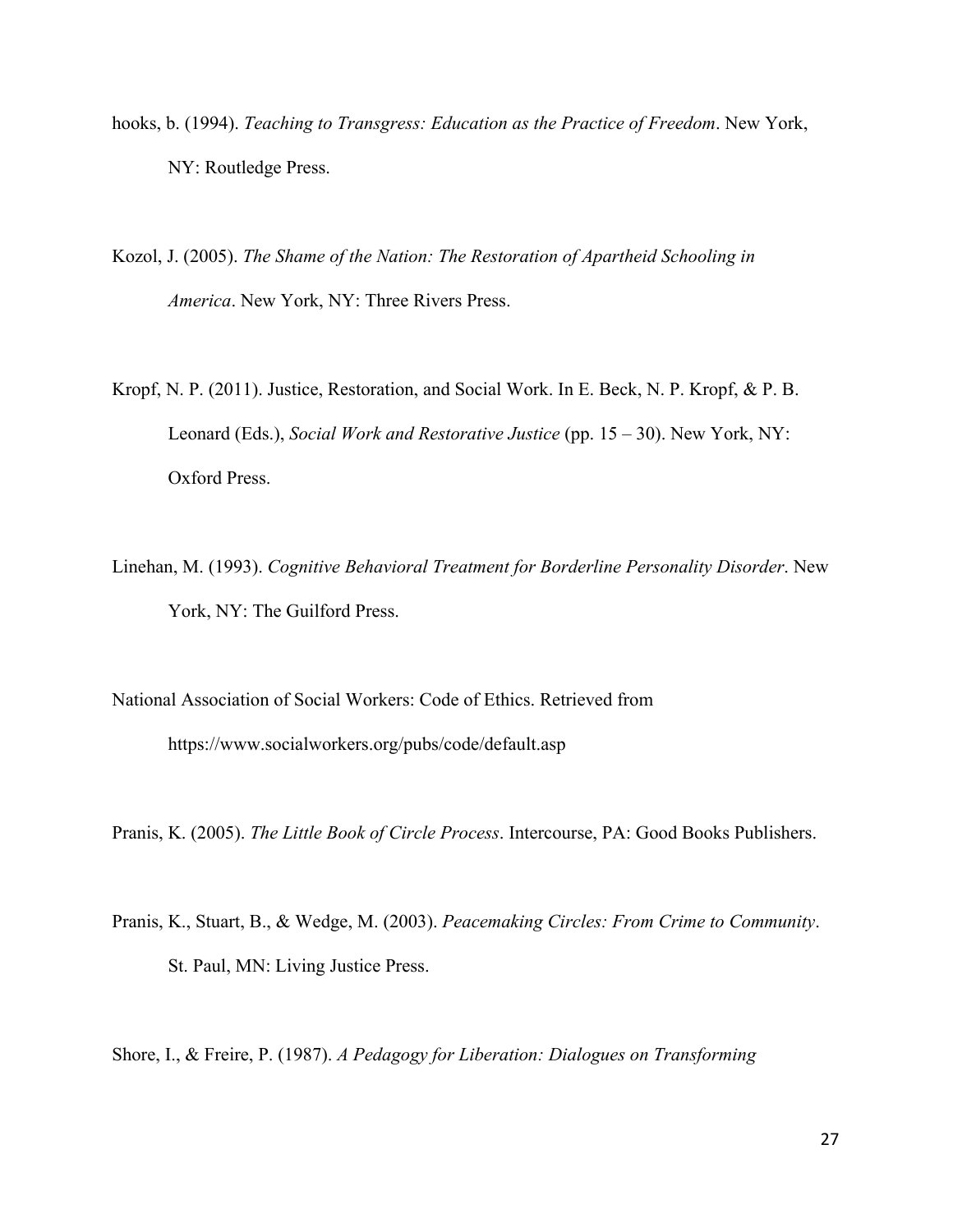- hooks, b. (1994). *Teaching to Transgress: Education as the Practice of Freedom*. New York, NY: Routledge Press.
- Kozol, J. (2005). *The Shame of the Nation: The Restoration of Apartheid Schooling in America*. New York, NY: Three Rivers Press.
- Kropf, N. P. (2011). Justice, Restoration, and Social Work. In E. Beck, N. P. Kropf, & P. B. Leonard (Eds.), *Social Work and Restorative Justice* (pp. 15 – 30). New York, NY: Oxford Press.
- Linehan, M. (1993). *Cognitive Behavioral Treatment for Borderline Personality Disorder*. New York, NY: The Guilford Press.
- National Association of Social Workers: Code of Ethics. Retrieved from https://www.socialworkers.org/pubs/code/default.asp

Pranis, K. (2005). *The Little Book of Circle Process*. Intercourse, PA: Good Books Publishers.

Pranis, K., Stuart, B., & Wedge, M. (2003). *Peacemaking Circles: From Crime to Community*. St. Paul, MN: Living Justice Press.

Shore, I., & Freire, P. (1987). *A Pedagogy for Liberation: Dialogues on Transforming*